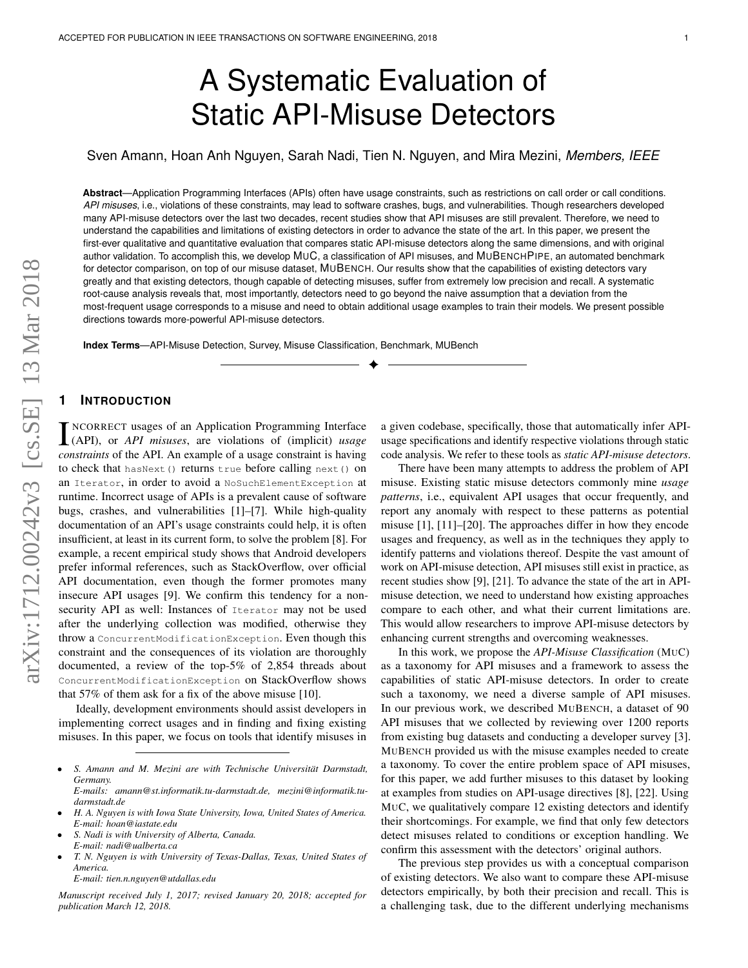# A Systematic Evaluation of Static API-Misuse Detectors

Sven Amann, Hoan Anh Nguyen, Sarah Nadi, Tien N. Nguyen, and Mira Mezini, *Members, IEEE*

**Abstract**—Application Programming Interfaces (APIs) often have usage constraints, such as restrictions on call order or call conditions. *API misuses*, i.e., violations of these constraints, may lead to software crashes, bugs, and vulnerabilities. Though researchers developed many API-misuse detectors over the last two decades, recent studies show that API misuses are still prevalent. Therefore, we need to understand the capabilities and limitations of existing detectors in order to advance the state of the art. In this paper, we present the first-ever qualitative and quantitative evaluation that compares static API-misuse detectors along the same dimensions, and with original author validation. To accomplish this, we develop MUC, a classification of API misuses, and MUBENCHPIPE, an automated benchmark for detector comparison, on top of our misuse dataset, MUBENCH. Our results show that the capabilities of existing detectors vary greatly and that existing detectors, though capable of detecting misuses, suffer from extremely low precision and recall. A systematic root-cause analysis reveals that, most importantly, detectors need to go beyond the naive assumption that a deviation from the most-frequent usage corresponds to a misuse and need to obtain additional usage examples to train their models. We present possible directions towards more-powerful API-misuse detectors.

✦

**Index Terms**—API-Misuse Detection, Survey, Misuse Classification, Benchmark, MUBench

# **1 INTRODUCTION**

INCORRECT usages of an Application Programming Interface<br>(API), or *API misuses*, are violations of (implicit) *usage*<br>constraints of the API An overagle of a users constraint is beginned NCORRECT usages of an Application Programming Interface *constraints* of the API. An example of a usage constraint is having to check that hasNext() returns true before calling next() on an Iterator, in order to avoid a NoSuchElementException at runtime. Incorrect usage of APIs is a prevalent cause of software bugs, crashes, and vulnerabilities [\[1\]](#page-15-0)–[\[7\]](#page-15-1). While high-quality documentation of an API's usage constraints could help, it is often insufficient, at least in its current form, to solve the problem [\[8\]](#page-15-2). For example, a recent empirical study shows that Android developers prefer informal references, such as StackOverflow, over official API documentation, even though the former promotes many insecure API usages [\[9\]](#page-16-0). We confirm this tendency for a nonsecurity API as well: Instances of Iterator may not be used after the underlying collection was modified, otherwise they throw a ConcurrentModificationException. Even though this constraint and the consequences of its violation are thoroughly documented, a review of the top-5% of 2,854 threads about ConcurrentModificationException on StackOverflow shows that 57% of them ask for a fix of the above misuse [\[10\]](#page-16-1).

Ideally, development environments should assist developers in implementing correct usages and in finding and fixing existing misuses. In this paper, we focus on tools that identify misuses in

- *S. Nadi is with University of Alberta, Canada. E-mail: nadi@ualberta.ca*
- *T. N. Nguyen is with University of Texas-Dallas, Texas, United States of America.*

*E-mail: tien.n.nguyen@utdallas.edu*

*Manuscript received July 1, 2017; revised January 20, 2018; accepted for publication March 12, 2018.*

a given codebase, specifically, those that automatically infer APIusage specifications and identify respective violations through static code analysis. We refer to these tools as *static API-misuse detectors*.

There have been many attempts to address the problem of API misuse. Existing static misuse detectors commonly mine *usage patterns*, i.e., equivalent API usages that occur frequently, and report any anomaly with respect to these patterns as potential misuse [\[1\]](#page-15-0), [\[11\]](#page-16-2)–[\[20\]](#page-16-3). The approaches differ in how they encode usages and frequency, as well as in the techniques they apply to identify patterns and violations thereof. Despite the vast amount of work on API-misuse detection, API misuses still exist in practice, as recent studies show [\[9\]](#page-16-0), [\[21\]](#page-16-4). To advance the state of the art in APImisuse detection, we need to understand how existing approaches compare to each other, and what their current limitations are. This would allow researchers to improve API-misuse detectors by enhancing current strengths and overcoming weaknesses.

In this work, we propose the *API-Misuse Classification* (MUC) as a taxonomy for API misuses and a framework to assess the capabilities of static API-misuse detectors. In order to create such a taxonomy, we need a diverse sample of API misuses. In our previous work, we described MUBENCH, a dataset of 90 API misuses that we collected by reviewing over 1200 reports from existing bug datasets and conducting a developer survey [\[3\]](#page-15-3). MUBENCH provided us with the misuse examples needed to create a taxonomy. To cover the entire problem space of API misuses, for this paper, we add further misuses to this dataset by looking at examples from studies on API-usage directives [\[8\]](#page-15-2), [\[22\]](#page-16-5). Using MUC, we qualitatively compare 12 existing detectors and identify their shortcomings. For example, we find that only few detectors detect misuses related to conditions or exception handling. We confirm this assessment with the detectors' original authors.

The previous step provides us with a conceptual comparison of existing detectors. We also want to compare these API-misuse detectors empirically, by both their precision and recall. This is a challenging task, due to the different underlying mechanisms

<sup>•</sup> *S. Amann and M. Mezini are with Technische Universitat Darmstadt, ¨ Germany. E-mails: amann@st.informatik.tu-darmstadt.de, mezini@informatik.tu-*

*darmstadt.de* • *H. A. Nguyen is with Iowa State University, Iowa, United States of America.*

*E-mail: hoan@iastate.edu*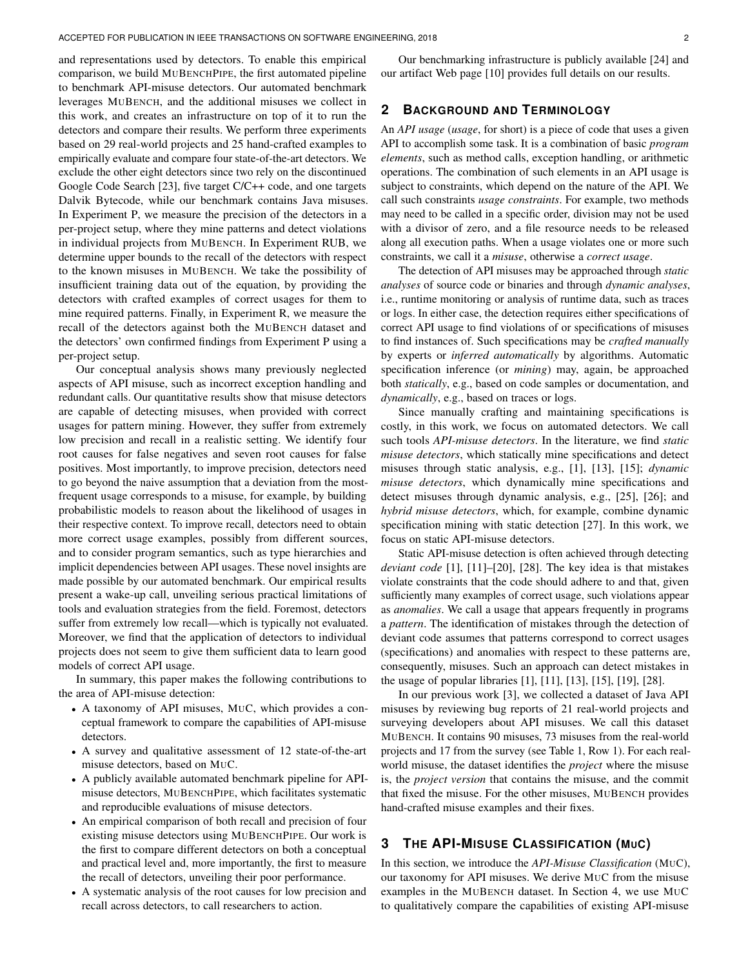and representations used by detectors. To enable this empirical comparison, we build MUBENCHPIPE, the first automated pipeline to benchmark API-misuse detectors. Our automated benchmark leverages MUBENCH, and the additional misuses we collect in this work, and creates an infrastructure on top of it to run the detectors and compare their results. We perform three experiments based on 29 real-world projects and 25 hand-crafted examples to empirically evaluate and compare four state-of-the-art detectors. We exclude the other eight detectors since two rely on the discontinued Google Code Search [\[23\]](#page-16-6), five target C/C++ code, and one targets Dalvik Bytecode, while our benchmark contains Java misuses. In [Experiment P,](#page-6-0) we measure the precision of the detectors in a per-project setup, where they mine patterns and detect violations in individual projects from MUBENCH. In [Experiment RUB,](#page-7-0) we determine upper bounds to the recall of the detectors with respect to the known misuses in MUBENCH. We take the possibility of insufficient training data out of the equation, by providing the detectors with crafted examples of correct usages for them to mine required patterns. Finally, in [Experiment R,](#page-8-0) we measure the recall of the detectors against both the MUBENCH dataset and the detectors' own confirmed findings from [Experiment P](#page-6-0) using a per-project setup.

Our conceptual analysis shows many previously neglected aspects of API misuse, such as incorrect exception handling and redundant calls. Our quantitative results show that misuse detectors are capable of detecting misuses, when provided with correct usages for pattern mining. However, they suffer from extremely low precision and recall in a realistic setting. We identify four root causes for false negatives and seven root causes for false positives. Most importantly, to improve precision, detectors need to go beyond the naive assumption that a deviation from the mostfrequent usage corresponds to a misuse, for example, by building probabilistic models to reason about the likelihood of usages in their respective context. To improve recall, detectors need to obtain more correct usage examples, possibly from different sources, and to consider program semantics, such as type hierarchies and implicit dependencies between API usages. These novel insights are made possible by our automated benchmark. Our empirical results present a wake-up call, unveiling serious practical limitations of tools and evaluation strategies from the field. Foremost, detectors suffer from extremely low recall—which is typically not evaluated. Moreover, we find that the application of detectors to individual projects does not seem to give them sufficient data to learn good models of correct API usage.

In summary, this paper makes the following contributions to the area of API-misuse detection:

- A taxonomy of API misuses, MUC, which provides a conceptual framework to compare the capabilities of API-misuse detectors.
- A survey and qualitative assessment of 12 state-of-the-art misuse detectors, based on MUC.
- A publicly available automated benchmark pipeline for APImisuse detectors, MUBENCHPIPE, which facilitates systematic and reproducible evaluations of misuse detectors.
- An empirical comparison of both recall and precision of four existing misuse detectors using MUBENCHPIPE. Our work is the first to compare different detectors on both a conceptual and practical level and, more importantly, the first to measure the recall of detectors, unveiling their poor performance.
- A systematic analysis of the root causes for low precision and recall across detectors, to call researchers to action.

Our benchmarking infrastructure is publicly available [\[24\]](#page-16-7) and our artifact Web page [\[10\]](#page-16-1) provides full details on our results.

# <span id="page-1-0"></span>**2 BACKGROUND AND TERMINOLOGY**

An *API usage* (*usage*, for short) is a piece of code that uses a given API to accomplish some task. It is a combination of basic *program elements*, such as method calls, exception handling, or arithmetic operations. The combination of such elements in an API usage is subject to constraints, which depend on the nature of the API. We call such constraints *usage constraints*. For example, two methods may need to be called in a specific order, division may not be used with a divisor of zero, and a file resource needs to be released along all execution paths. When a usage violates one or more such constraints, we call it a *misuse*, otherwise a *correct usage*.

The detection of API misuses may be approached through *static analyses* of source code or binaries and through *dynamic analyses*, i.e., runtime monitoring or analysis of runtime data, such as traces or logs. In either case, the detection requires either specifications of correct API usage to find violations of or specifications of misuses to find instances of. Such specifications may be *crafted manually* by experts or *inferred automatically* by algorithms. Automatic specification inference (or *mining*) may, again, be approached both *statically*, e.g., based on code samples or documentation, and *dynamically*, e.g., based on traces or logs.

Since manually crafting and maintaining specifications is costly, in this work, we focus on automated detectors. We call such tools *API-misuse detectors*. In the literature, we find *static misuse detectors*, which statically mine specifications and detect misuses through static analysis, e.g., [\[1\]](#page-15-0), [\[13\]](#page-16-8), [\[15\]](#page-16-9); *dynamic misuse detectors*, which dynamically mine specifications and detect misuses through dynamic analysis, e.g., [\[25\]](#page-16-10), [\[26\]](#page-16-11); and *hybrid misuse detectors*, which, for example, combine dynamic specification mining with static detection [\[27\]](#page-16-12). In this work, we focus on static API-misuse detectors.

Static API-misuse detection is often achieved through detecting *deviant code* [\[1\]](#page-15-0), [\[11\]](#page-16-2)–[\[20\]](#page-16-3), [\[28\]](#page-16-13). The key idea is that mistakes violate constraints that the code should adhere to and that, given sufficiently many examples of correct usage, such violations appear as *anomalies*. We call a usage that appears frequently in programs a *pattern*. The identification of mistakes through the detection of deviant code assumes that patterns correspond to correct usages (specifications) and anomalies with respect to these patterns are, consequently, misuses. Such an approach can detect mistakes in the usage of popular libraries [\[1\]](#page-15-0), [\[11\]](#page-16-2), [\[13\]](#page-16-8), [\[15\]](#page-16-9), [\[19\]](#page-16-14), [\[28\]](#page-16-13).

In our previous work [\[3\]](#page-15-3), we collected a dataset of Java API misuses by reviewing bug reports of 21 real-world projects and surveying developers about API misuses. We call this dataset MUBENCH. It contains 90 misuses, 73 misuses from the real-world projects and 17 from the survey (see [Table 1,](#page-2-0) Row 1). For each realworld misuse, the dataset identifies the *project* where the misuse is, the *project version* that contains the misuse, and the commit that fixed the misuse. For the other misuses, MUBENCH provides hand-crafted misuse examples and their fixes.

# **3 THE API-MISUSE CLASSIFICATION (MUC)**

In this section, we introduce the *API-Misuse Classification* (MUC), our taxonomy for API misuses. We derive MUC from the misuse examples in the MUBENCH dataset. In [Section 4,](#page-3-0) we use MUC to qualitatively compare the capabilities of existing API-misuse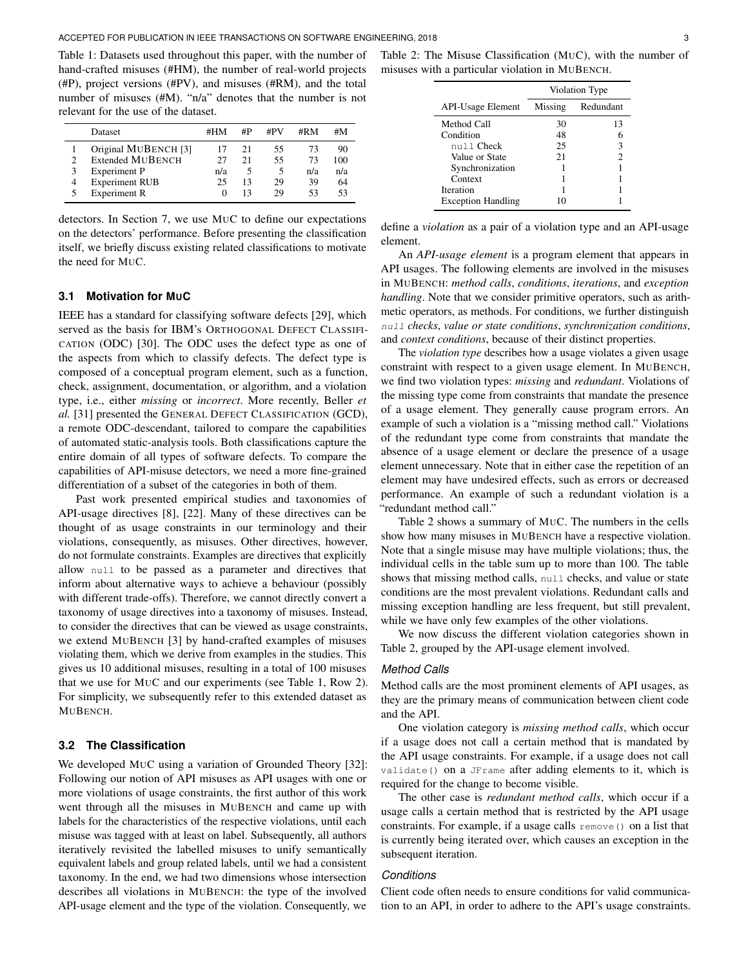<span id="page-2-0"></span>Table 1: Datasets used throughout this paper, with the number of hand-crafted misuses (#HM), the number of real-world projects (#P), project versions (#PV), and misuses (#RM), and the total number of misuses (#M). "n/a" denotes that the number is not relevant for the use of the dataset.

|   | Dataset                 | #HM | #P | #PV | #RM | #M  |
|---|-------------------------|-----|----|-----|-----|-----|
|   | Original MUBENCH [3]    |     | 21 | 55  | 73  | 90  |
| ∍ | <b>Extended MUBENCH</b> | 27  | 21 | 55  | 73  | 100 |
| 3 | <b>Experiment P</b>     | n/a |    | 5   | n/a | n/a |
| 4 | <b>Experiment RUB</b>   | 25  | 13 | 29  | 39  | 64  |
|   | <b>Experiment R</b>     |     |    | 29  | 53  | 53  |

detectors. In [Section 7,](#page-9-0) we use MUC to define our expectations on the detectors' performance. Before presenting the classification itself, we briefly discuss existing related classifications to motivate the need for MUC.

## **3.1 Motivation for MUC**

IEEE has a standard for classifying software defects [\[29\]](#page-16-15), which served as the basis for IBM's ORTHOGONAL DEFECT CLASSIFI-CATION (ODC) [\[30\]](#page-16-16). The ODC uses the defect type as one of the aspects from which to classify defects. The defect type is composed of a conceptual program element, such as a function, check, assignment, documentation, or algorithm, and a violation type, i.e., either *missing* or *incorrect*. More recently, Beller *et al.* [\[31\]](#page-16-17) presented the GENERAL DEFECT CLASSIFICATION (GCD), a remote ODC-descendant, tailored to compare the capabilities of automated static-analysis tools. Both classifications capture the entire domain of all types of software defects. To compare the capabilities of API-misuse detectors, we need a more fine-grained differentiation of a subset of the categories in both of them.

Past work presented empirical studies and taxonomies of API-usage directives [\[8\]](#page-15-2), [\[22\]](#page-16-5). Many of these directives can be thought of as usage constraints in our terminology and their violations, consequently, as misuses. Other directives, however, do not formulate constraints. Examples are directives that explicitly allow null to be passed as a parameter and directives that inform about alternative ways to achieve a behaviour (possibly with different trade-offs). Therefore, we cannot directly convert a taxonomy of usage directives into a taxonomy of misuses. Instead, to consider the directives that can be viewed as usage constraints, we extend MUBENCH [\[3\]](#page-15-3) by hand-crafted examples of misuses violating them, which we derive from examples in the studies. This gives us 10 additional misuses, resulting in a total of 100 misuses that we use for MUC and our experiments (see [Table 1,](#page-2-0) Row 2). For simplicity, we subsequently refer to this extended dataset as MUBENCH.

## **3.2 The Classification**

We developed MUC using a variation of Grounded Theory [\[32\]](#page-16-18): Following our notion of API misuses as API usages with one or more violations of usage constraints, the first author of this work went through all the misuses in MUBENCH and came up with labels for the characteristics of the respective violations, until each misuse was tagged with at least on label. Subsequently, all authors iteratively revisited the labelled misuses to unify semantically equivalent labels and group related labels, until we had a consistent taxonomy. In the end, we had two dimensions whose intersection describes all violations in MUBENCH: the type of the involved API-usage element and the type of the violation. Consequently, we

<span id="page-2-1"></span>Table 2: The Misuse Classification (MUC), with the number of misuses with a particular violation in MUBENCH.

|                           | Violation Type |                |  |  |  |  |  |
|---------------------------|----------------|----------------|--|--|--|--|--|
| <b>API-Usage Element</b>  | Missing        | Redundant      |  |  |  |  |  |
| Method Call               | 30             | 13             |  |  |  |  |  |
| Condition                 | 48             | 6              |  |  |  |  |  |
| null Check                | 25             | 3              |  |  |  |  |  |
| Value or State            | 21             | $\mathfrak{D}$ |  |  |  |  |  |
| Synchronization           |                |                |  |  |  |  |  |
| Context                   |                |                |  |  |  |  |  |
| <b>Iteration</b>          |                |                |  |  |  |  |  |
| <b>Exception Handling</b> | 10             |                |  |  |  |  |  |

define a *violation* as a pair of a violation type and an API-usage element.

An *API-usage element* is a program element that appears in API usages. The following elements are involved in the misuses in MUBENCH: *method calls*, *conditions*, *iterations*, and *exception handling*. Note that we consider primitive operators, such as arithmetic operators, as methods. For conditions, we further distinguish null *checks*, *value or state conditions*, *synchronization conditions*, and *context conditions*, because of their distinct properties.

The *violation type* describes how a usage violates a given usage constraint with respect to a given usage element. In MUBENCH, we find two violation types: *missing* and *redundant*. Violations of the missing type come from constraints that mandate the presence of a usage element. They generally cause program errors. An example of such a violation is a "missing method call." Violations of the redundant type come from constraints that mandate the absence of a usage element or declare the presence of a usage element unnecessary. Note that in either case the repetition of an element may have undesired effects, such as errors or decreased performance. An example of such a redundant violation is a "redundant method call."

[Table 2](#page-2-1) shows a summary of MUC. The numbers in the cells show how many misuses in MUBENCH have a respective violation. Note that a single misuse may have multiple violations; thus, the individual cells in the table sum up to more than 100. The table shows that missing method calls, null checks, and value or state conditions are the most prevalent violations. Redundant calls and missing exception handling are less frequent, but still prevalent, while we have only few examples of the other violations.

We now discuss the different violation categories shown in [Table 2,](#page-2-1) grouped by the API-usage element involved.

#### *Method Calls*

Method calls are the most prominent elements of API usages, as they are the primary means of communication between client code and the API.

One violation category is *missing method calls*, which occur if a usage does not call a certain method that is mandated by the API usage constraints. For example, if a usage does not call validate() on a JFrame after adding elements to it, which is required for the change to become visible.

The other case is *redundant method calls*, which occur if a usage calls a certain method that is restricted by the API usage constraints. For example, if a usage calls remove() on a list that is currently being iterated over, which causes an exception in the subsequent iteration.

# *Conditions*

Client code often needs to ensure conditions for valid communication to an API, in order to adhere to the API's usage constraints.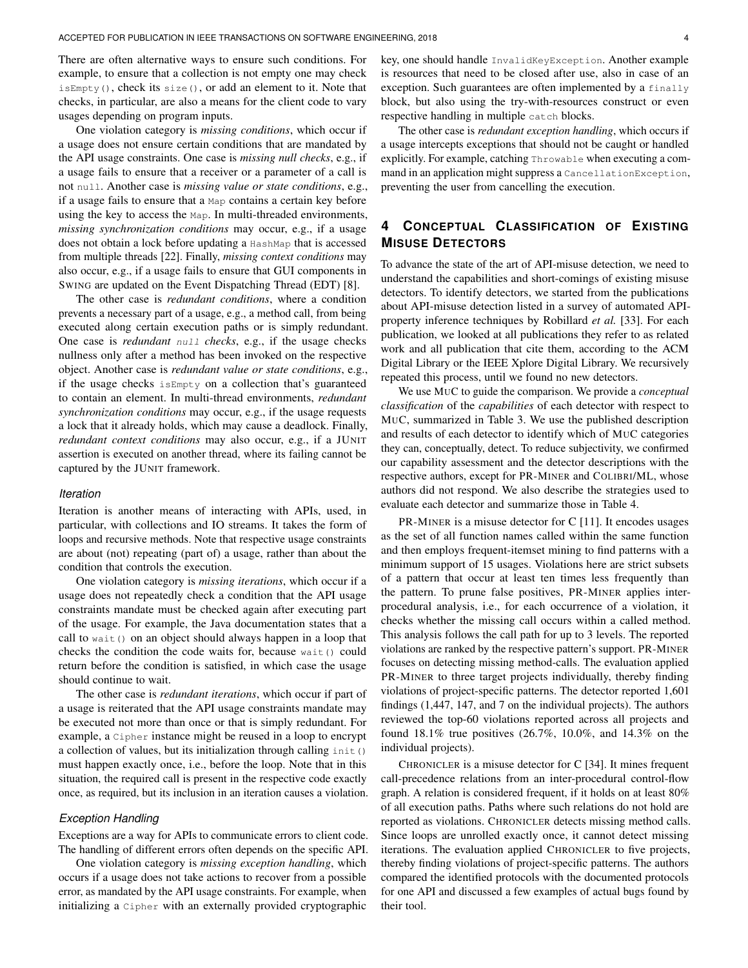There are often alternative ways to ensure such conditions. For example, to ensure that a collection is not empty one may check isEmpty(), check its size(), or add an element to it. Note that checks, in particular, are also a means for the client code to vary usages depending on program inputs.

One violation category is *missing conditions*, which occur if a usage does not ensure certain conditions that are mandated by the API usage constraints. One case is *missing null checks*, e.g., if a usage fails to ensure that a receiver or a parameter of a call is not null. Another case is *missing value or state conditions*, e.g., if a usage fails to ensure that a Map contains a certain key before using the key to access the Map. In multi-threaded environments, *missing synchronization conditions* may occur, e.g., if a usage does not obtain a lock before updating a HashMap that is accessed from multiple threads [\[22\]](#page-16-5). Finally, *missing context conditions* may also occur, e.g., if a usage fails to ensure that GUI components in SWING are updated on the Event Dispatching Thread (EDT) [\[8\]](#page-15-2).

The other case is *redundant conditions*, where a condition prevents a necessary part of a usage, e.g., a method call, from being executed along certain execution paths or is simply redundant. One case is *redundant* null *checks*, e.g., if the usage checks nullness only after a method has been invoked on the respective object. Another case is *redundant value or state conditions*, e.g., if the usage checks isEmpty on a collection that's guaranteed to contain an element. In multi-thread environments, *redundant synchronization conditions* may occur, e.g., if the usage requests a lock that it already holds, which may cause a deadlock. Finally, *redundant context conditions* may also occur, e.g., if a JUNIT assertion is executed on another thread, where its failing cannot be captured by the JUNIT framework.

#### *Iteration*

Iteration is another means of interacting with APIs, used, in particular, with collections and IO streams. It takes the form of loops and recursive methods. Note that respective usage constraints are about (not) repeating (part of) a usage, rather than about the condition that controls the execution.

One violation category is *missing iterations*, which occur if a usage does not repeatedly check a condition that the API usage constraints mandate must be checked again after executing part of the usage. For example, the Java documentation states that a call to wait() on an object should always happen in a loop that checks the condition the code waits for, because wait() could return before the condition is satisfied, in which case the usage should continue to wait.

The other case is *redundant iterations*, which occur if part of a usage is reiterated that the API usage constraints mandate may be executed not more than once or that is simply redundant. For example, a Cipher instance might be reused in a loop to encrypt a collection of values, but its initialization through calling init() must happen exactly once, i.e., before the loop. Note that in this situation, the required call is present in the respective code exactly once, as required, but its inclusion in an iteration causes a violation.

## *Exception Handling*

Exceptions are a way for APIs to communicate errors to client code. The handling of different errors often depends on the specific API.

One violation category is *missing exception handling*, which occurs if a usage does not take actions to recover from a possible error, as mandated by the API usage constraints. For example, when initializing a Cipher with an externally provided cryptographic key, one should handle InvalidKeyException. Another example is resources that need to be closed after use, also in case of an exception. Such guarantees are often implemented by a finally block, but also using the try-with-resources construct or even respective handling in multiple catch blocks.

The other case is *redundant exception handling*, which occurs if a usage intercepts exceptions that should not be caught or handled explicitly. For example, catching Throwable when executing a command in an application might suppress a CancellationException, preventing the user from cancelling the execution.

# <span id="page-3-0"></span>**4 CONCEPTUAL CLASSIFICATION OF EXISTING MISUSE DETECTORS**

To advance the state of the art of API-misuse detection, we need to understand the capabilities and short-comings of existing misuse detectors. To identify detectors, we started from the publications about API-misuse detection listed in a survey of automated APIproperty inference techniques by Robillard *et al.* [\[33\]](#page-16-19). For each publication, we looked at all publications they refer to as related work and all publication that cite them, according to the ACM Digital Library or the IEEE Xplore Digital Library. We recursively repeated this process, until we found no new detectors.

We use MUC to guide the comparison. We provide a *conceptual classification* of the *capabilities* of each detector with respect to MUC, summarized in [Table 3.](#page-4-0) We use the published description and results of each detector to identify which of MUC categories they can, conceptually, detect. To reduce subjectivity, we confirmed our capability assessment and the detector descriptions with the respective authors, except for PR-MINER and COLIBRI/ML, whose authors did not respond. We also describe the strategies used to evaluate each detector and summarize those in [Table 4.](#page-4-1)

PR-MINER is a misuse detector for C [\[11\]](#page-16-2). It encodes usages as the set of all function names called within the same function and then employs frequent-itemset mining to find patterns with a minimum support of 15 usages. Violations here are strict subsets of a pattern that occur at least ten times less frequently than the pattern. To prune false positives, PR-MINER applies interprocedural analysis, i.e., for each occurrence of a violation, it checks whether the missing call occurs within a called method. This analysis follows the call path for up to 3 levels. The reported violations are ranked by the respective pattern's support. PR-MINER focuses on detecting missing method-calls. The evaluation applied PR-MINER to three target projects individually, thereby finding violations of project-specific patterns. The detector reported 1,601 findings (1,447, 147, and 7 on the individual projects). The authors reviewed the top-60 violations reported across all projects and found 18.1% true positives (26.7%, 10.0%, and 14.3% on the individual projects).

CHRONICLER is a misuse detector for C [\[34\]](#page-16-20). It mines frequent call-precedence relations from an inter-procedural control-flow graph. A relation is considered frequent, if it holds on at least 80% of all execution paths. Paths where such relations do not hold are reported as violations. CHRONICLER detects missing method calls. Since loops are unrolled exactly once, it cannot detect missing iterations. The evaluation applied CHRONICLER to five projects, thereby finding violations of project-specific patterns. The authors compared the identified protocols with the documented protocols for one API and discussed a few examples of actual bugs found by their tool.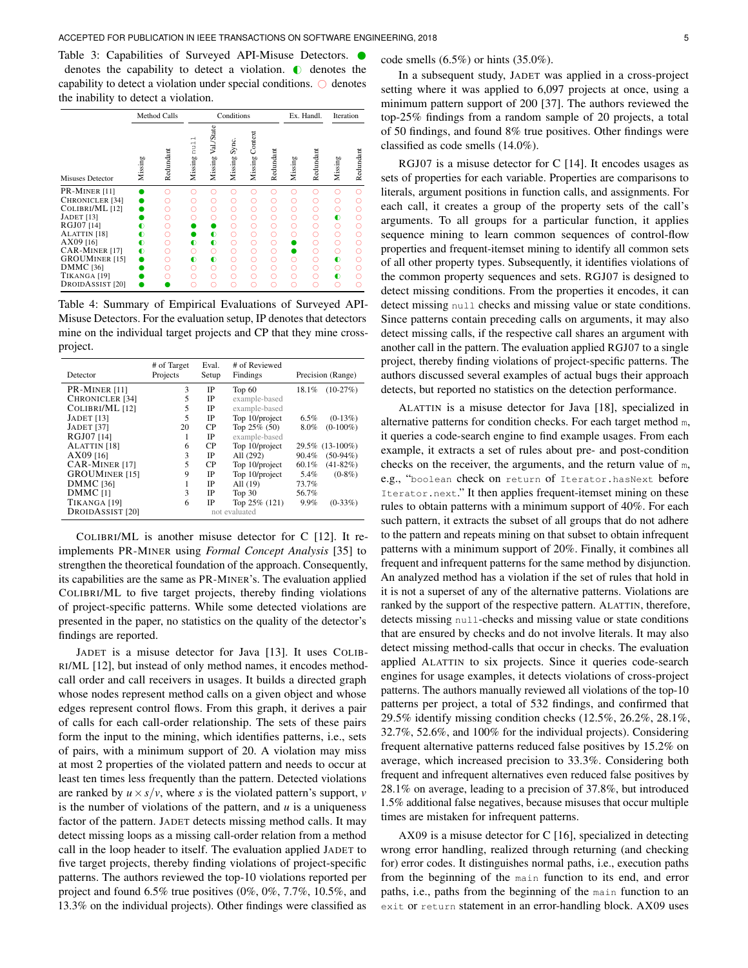<span id="page-4-0"></span>Table 3: Capabilities of Surveyed API-Misuse Detectors.  $\bullet$ denotes the capability to detect a violation.  $\bullet$  denotes the capability to detect a violation under special conditions.  $\bigcirc$  denotes the inability to detect a violation.

|                                                                                                                                                                                                                                                                |                          | <b>Method Calls</b>                            |                                                        |                                                                                         | Conditions                                               |                                                           |                                                     |                                           | Ex. Handl.                                          | Iteration                                                              |                                                          |
|----------------------------------------------------------------------------------------------------------------------------------------------------------------------------------------------------------------------------------------------------------------|--------------------------|------------------------------------------------|--------------------------------------------------------|-----------------------------------------------------------------------------------------|----------------------------------------------------------|-----------------------------------------------------------|-----------------------------------------------------|-------------------------------------------|-----------------------------------------------------|------------------------------------------------------------------------|----------------------------------------------------------|
| <b>Misuses Detector</b>                                                                                                                                                                                                                                        | Missing                  | Redundant                                      | $\overline{\phantom{0}}$<br>nu1<br>Missing             | Val./State<br>Missing                                                                   | Sync.<br>Missing                                         | Context<br>Missing                                        | Redundant                                           | Missing                                   | Redundant                                           | Missing                                                                | Redundant                                                |
| PR-MINER [11]<br>CHRONICLER <sup>[34]</sup><br>COLIBRI/ML [12]<br><b>JADET</b> [13]<br>RGJ07 [14]<br>ALATTIN <sup>[18]</sup><br>AX09 [16]<br>CAR-MINER [17]<br><b>GROUMINER [15]</b><br><b>DMMC</b> [36]<br>TIKANGA <sup>[19]</sup><br><b>DROIDASSIST</b> [20] | ◐<br>◐<br>∩<br>$\bullet$ | O<br>∩<br>Ω<br>∩<br>∩<br>Ω<br>∩<br>∩<br>Ω<br>∩ | Ω.<br>∩<br>Ω<br>$\bullet$<br>∩<br>$\bullet$<br>∩<br>Ω. | Ω<br>O<br>O<br>Ω<br>$\bullet$<br>$\bullet$<br>$\circ$<br>$\bullet$<br>$\circ$<br>Ω<br>C | ∩<br>∩<br>О<br>∩<br>O<br>Ο<br>Ω<br>O<br>O<br>Ο<br>Ω<br>C | ∩<br>Ō<br>Ō<br>Ō<br>Ō<br>Ω<br>Ω<br>$\circ$<br>Ō<br>Ō<br>Ω | ∩<br>Ω<br>Ο<br>O<br>Ω<br>О<br>Ω<br>Ō<br>Ō<br>Ο<br>∩ | ∩<br>∩<br>Ō<br>Ω<br>Ω<br>∩<br>∩<br>Ω<br>Ω | C<br>∩<br>O<br>∩<br>∩<br>∩<br>∩<br>Ō<br>O<br>O<br>∩ | Ω<br>Ō<br>$\bullet$<br>Ω<br>Ω<br>Ω<br>O<br>$\bullet$<br>Ω<br>$\bullet$ | Ō<br>∩<br>C<br>∩<br>∩<br>∩<br>∩<br>Ō<br>Ō<br>C<br>∩<br>∩ |

<span id="page-4-1"></span>Table 4: Summary of Empirical Evaluations of Surveyed API-Misuse Detectors. For the evaluation setup, IP denotes that detectors mine on the individual target projects and CP that they mine crossproject.

| Detector                | # of Target<br>Projects | Eval.<br>Setup | # of Reviewed<br>Findings |       | Precision (Range) |
|-------------------------|-------------------------|----------------|---------------------------|-------|-------------------|
| PR-MINER [11]           | 3                       | IP             | Top $60$                  | 18.1% | $(10-27%)$        |
| <b>CHRONICLER [34]</b>  | 5                       | IP             | example-based             |       |                   |
| COLIBRI/ML [12]         | 5                       | IP             | example-based             |       |                   |
| <b>JADET</b> [13]       | 5                       | IP             | Top 10/project            | 6.5%  | $(0-13\%)$        |
| <b>JADET</b> [37]       | 20                      | <b>CP</b>      | Top $25\%$ (50)           | 8.0%  | $(0-100\%)$       |
| RGJ07 [14]              | 1                       | IP             | example-based             |       |                   |
| ALATTIN [18]            | 6                       | CР             | Top 10/project            |       | 29.5% (13-100%)   |
| AX09 [16]               | 3                       | IP             | All (292)                 | 90.4% | $(50-94%)$        |
| <b>CAR-MINER [17]</b>   | 5                       | <b>CP</b>      | Top 10/project            | 60.1% | $(41 - 82\%)$     |
| <b>GROUMINER [15]</b>   | 9                       | IP             | Top 10/project            | 5.4%  | $(0-8\%)$         |
| DMMC <sub>[36]</sub>    |                         | IP             | All (19)                  | 73.7% |                   |
| DMMC <sub>[11</sub> ]   | 3                       | IP             | Top $30$                  | 56.7% |                   |
| TIKANGA <sup>[19]</sup> | 6                       | IP             | Top $25\%$ (121)          | 9.9%  | $(0-33\%)$        |
| <b>DROIDASSIST</b> [20] |                         |                | not evaluated             |       |                   |

COLIBRI/ML is another misuse detector for C [\[12\]](#page-16-21). It reimplements PR-MINER using *Formal Concept Analysis* [\[35\]](#page-16-28) to strengthen the theoretical foundation of the approach. Consequently, its capabilities are the same as PR-MINER's. The evaluation applied COLIBRI/ML to five target projects, thereby finding violations of project-specific patterns. While some detected violations are presented in the paper, no statistics on the quality of the detector's findings are reported.

JADET is a misuse detector for Java [\[13\]](#page-16-8). It uses COLIB-RI/ML [\[12\]](#page-16-21), but instead of only method names, it encodes methodcall order and call receivers in usages. It builds a directed graph whose nodes represent method calls on a given object and whose edges represent control flows. From this graph, it derives a pair of calls for each call-order relationship. The sets of these pairs form the input to the mining, which identifies patterns, i.e., sets of pairs, with a minimum support of 20. A violation may miss at most 2 properties of the violated pattern and needs to occur at least ten times less frequently than the pattern. Detected violations are ranked by  $u \times s/v$ , where *s* is the violated pattern's support, *v* is the number of violations of the pattern, and  $u$  is a uniqueness factor of the pattern. JADET detects missing method calls. It may detect missing loops as a missing call-order relation from a method call in the loop header to itself. The evaluation applied JADET to five target projects, thereby finding violations of project-specific patterns. The authors reviewed the top-10 violations reported per project and found 6.5% true positives (0%, 0%, 7.7%, 10.5%, and 13.3% on the individual projects). Other findings were classified as

#### code smells (6.5%) or hints (35.0%).

In a subsequent study, JADET was applied in a cross-project setting where it was applied to 6,097 projects at once, using a minimum pattern support of 200 [\[37\]](#page-16-27). The authors reviewed the top-25% findings from a random sample of 20 projects, a total of 50 findings, and found 8% true positives. Other findings were classified as code smells (14.0%).

RGJ07 is a misuse detector for C [\[14\]](#page-16-22). It encodes usages as sets of properties for each variable. Properties are comparisons to literals, argument positions in function calls, and assignments. For each call, it creates a group of the property sets of the call's arguments. To all groups for a particular function, it applies sequence mining to learn common sequences of control-flow properties and frequent-itemset mining to identify all common sets of all other property types. Subsequently, it identifies violations of the common property sequences and sets. RGJ07 is designed to detect missing conditions. From the properties it encodes, it can detect missing null checks and missing value or state conditions. Since patterns contain preceding calls on arguments, it may also detect missing calls, if the respective call shares an argument with another call in the pattern. The evaluation applied RGJ07 to a single project, thereby finding violations of project-specific patterns. The authors discussed several examples of actual bugs their approach detects, but reported no statistics on the detection performance.

ALATTIN is a misuse detector for Java [\[18\]](#page-16-23), specialized in alternative patterns for condition checks. For each target method m, it queries a code-search engine to find example usages. From each example, it extracts a set of rules about pre- and post-condition checks on the receiver, the arguments, and the return value of m, e.g., "boolean check on return of Iterator.hasNext before Iterator.next." It then applies frequent-itemset mining on these rules to obtain patterns with a minimum support of 40%. For each such pattern, it extracts the subset of all groups that do not adhere to the pattern and repeats mining on that subset to obtain infrequent patterns with a minimum support of 20%. Finally, it combines all frequent and infrequent patterns for the same method by disjunction. An analyzed method has a violation if the set of rules that hold in it is not a superset of any of the alternative patterns. Violations are ranked by the support of the respective pattern. ALATTIN, therefore, detects missing null-checks and missing value or state conditions that are ensured by checks and do not involve literals. It may also detect missing method-calls that occur in checks. The evaluation applied ALATTIN to six projects. Since it queries code-search engines for usage examples, it detects violations of cross-project patterns. The authors manually reviewed all violations of the top-10 patterns per project, a total of 532 findings, and confirmed that 29.5% identify missing condition checks (12.5%, 26.2%, 28.1%, 32.7%, 52.6%, and 100% for the individual projects). Considering frequent alternative patterns reduced false positives by 15.2% on average, which increased precision to 33.3%. Considering both frequent and infrequent alternatives even reduced false positives by 28.1% on average, leading to a precision of 37.8%, but introduced 1.5% additional false negatives, because misuses that occur multiple times are mistaken for infrequent patterns.

AX09 is a misuse detector for C [\[16\]](#page-16-24), specialized in detecting wrong error handling, realized through returning (and checking for) error codes. It distinguishes normal paths, i.e., execution paths from the beginning of the main function to its end, and error paths, i.e., paths from the beginning of the main function to an exit or return statement in an error-handling block. AX09 uses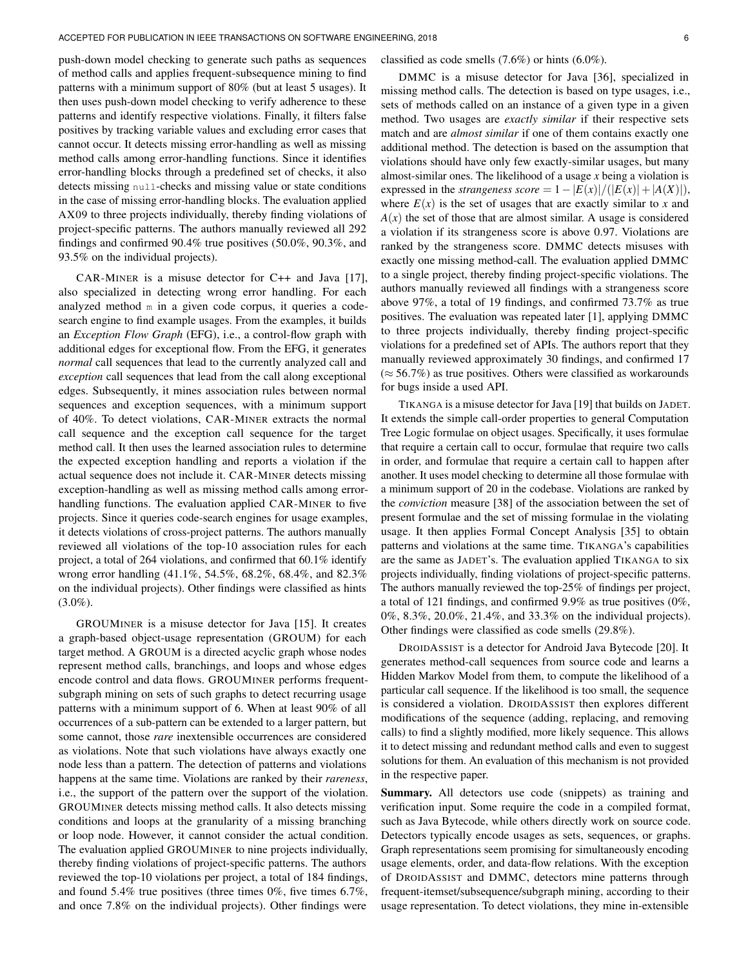push-down model checking to generate such paths as sequences of method calls and applies frequent-subsequence mining to find patterns with a minimum support of 80% (but at least 5 usages). It then uses push-down model checking to verify adherence to these patterns and identify respective violations. Finally, it filters false positives by tracking variable values and excluding error cases that cannot occur. It detects missing error-handling as well as missing method calls among error-handling functions. Since it identifies error-handling blocks through a predefined set of checks, it also detects missing null-checks and missing value or state conditions in the case of missing error-handling blocks. The evaluation applied AX09 to three projects individually, thereby finding violations of project-specific patterns. The authors manually reviewed all 292 findings and confirmed 90.4% true positives (50.0%, 90.3%, and 93.5% on the individual projects).

CAR-MINER is a misuse detector for C++ and Java [\[17\]](#page-16-25), also specialized in detecting wrong error handling. For each analyzed method m in a given code corpus, it queries a codesearch engine to find example usages. From the examples, it builds an *Exception Flow Graph* (EFG), i.e., a control-flow graph with additional edges for exceptional flow. From the EFG, it generates *normal* call sequences that lead to the currently analyzed call and *exception* call sequences that lead from the call along exceptional edges. Subsequently, it mines association rules between normal sequences and exception sequences, with a minimum support of 40%. To detect violations, CAR-MINER extracts the normal call sequence and the exception call sequence for the target method call. It then uses the learned association rules to determine the expected exception handling and reports a violation if the actual sequence does not include it. CAR-MINER detects missing exception-handling as well as missing method calls among errorhandling functions. The evaluation applied CAR-MINER to five projects. Since it queries code-search engines for usage examples, it detects violations of cross-project patterns. The authors manually reviewed all violations of the top-10 association rules for each project, a total of 264 violations, and confirmed that 60.1% identify wrong error handling (41.1%, 54.5%, 68.2%, 68.4%, and 82.3% on the individual projects). Other findings were classified as hints  $(3.0\%)$ .

GROUMINER is a misuse detector for Java [\[15\]](#page-16-9). It creates a graph-based object-usage representation (GROUM) for each target method. A GROUM is a directed acyclic graph whose nodes represent method calls, branchings, and loops and whose edges encode control and data flows. GROUMINER performs frequentsubgraph mining on sets of such graphs to detect recurring usage patterns with a minimum support of 6. When at least 90% of all occurrences of a sub-pattern can be extended to a larger pattern, but some cannot, those *rare* inextensible occurrences are considered as violations. Note that such violations have always exactly one node less than a pattern. The detection of patterns and violations happens at the same time. Violations are ranked by their *rareness*, i.e., the support of the pattern over the support of the violation. GROUMINER detects missing method calls. It also detects missing conditions and loops at the granularity of a missing branching or loop node. However, it cannot consider the actual condition. The evaluation applied GROUMINER to nine projects individually, thereby finding violations of project-specific patterns. The authors reviewed the top-10 violations per project, a total of 184 findings, and found 5.4% true positives (three times 0%, five times 6.7%, and once 7.8% on the individual projects). Other findings were

#### classified as code smells (7.6%) or hints (6.0%).

DMMC is a misuse detector for Java [\[36\]](#page-16-26), specialized in missing method calls. The detection is based on type usages, i.e., sets of methods called on an instance of a given type in a given method. Two usages are *exactly similar* if their respective sets match and are *almost similar* if one of them contains exactly one additional method. The detection is based on the assumption that violations should have only few exactly-similar usages, but many almost-similar ones. The likelihood of a usage *x* being a violation is expressed in the *strangeness score* =  $1 - |E(x)|/(|E(x)| + |A(X)|)$ , where  $E(x)$  is the set of usages that are exactly similar to *x* and  $A(x)$  the set of those that are almost similar. A usage is considered a violation if its strangeness score is above 0.97. Violations are ranked by the strangeness score. DMMC detects misuses with exactly one missing method-call. The evaluation applied DMMC to a single project, thereby finding project-specific violations. The authors manually reviewed all findings with a strangeness score above 97%, a total of 19 findings, and confirmed 73.7% as true positives. The evaluation was repeated later [\[1\]](#page-15-0), applying DMMC to three projects individually, thereby finding project-specific violations for a predefined set of APIs. The authors report that they manually reviewed approximately 30 findings, and confirmed 17  $(\approx 56.7\%)$  as true positives. Others were classified as workarounds for bugs inside a used API.

TIKANGA is a misuse detector for Java [\[19\]](#page-16-14) that builds on JADET. It extends the simple call-order properties to general Computation Tree Logic formulae on object usages. Specifically, it uses formulae that require a certain call to occur, formulae that require two calls in order, and formulae that require a certain call to happen after another. It uses model checking to determine all those formulae with a minimum support of 20 in the codebase. Violations are ranked by the *conviction* measure [\[38\]](#page-16-29) of the association between the set of present formulae and the set of missing formulae in the violating usage. It then applies Formal Concept Analysis [\[35\]](#page-16-28) to obtain patterns and violations at the same time. TIKANGA's capabilities are the same as JADET's. The evaluation applied TIKANGA to six projects individually, finding violations of project-specific patterns. The authors manually reviewed the top-25% of findings per project, a total of 121 findings, and confirmed 9.9% as true positives (0%, 0%, 8.3%, 20.0%, 21.4%, and 33.3% on the individual projects). Other findings were classified as code smells (29.8%).

DROIDASSIST is a detector for Android Java Bytecode [\[20\]](#page-16-3). It generates method-call sequences from source code and learns a Hidden Markov Model from them, to compute the likelihood of a particular call sequence. If the likelihood is too small, the sequence is considered a violation. DROIDASSIST then explores different modifications of the sequence (adding, replacing, and removing calls) to find a slightly modified, more likely sequence. This allows it to detect missing and redundant method calls and even to suggest solutions for them. An evaluation of this mechanism is not provided in the respective paper.

Summary. All detectors use code (snippets) as training and verification input. Some require the code in a compiled format, such as Java Bytecode, while others directly work on source code. Detectors typically encode usages as sets, sequences, or graphs. Graph representations seem promising for simultaneously encoding usage elements, order, and data-flow relations. With the exception of DROIDASSIST and DMMC, detectors mine patterns through frequent-itemset/subsequence/subgraph mining, according to their usage representation. To detect violations, they mine in-extensible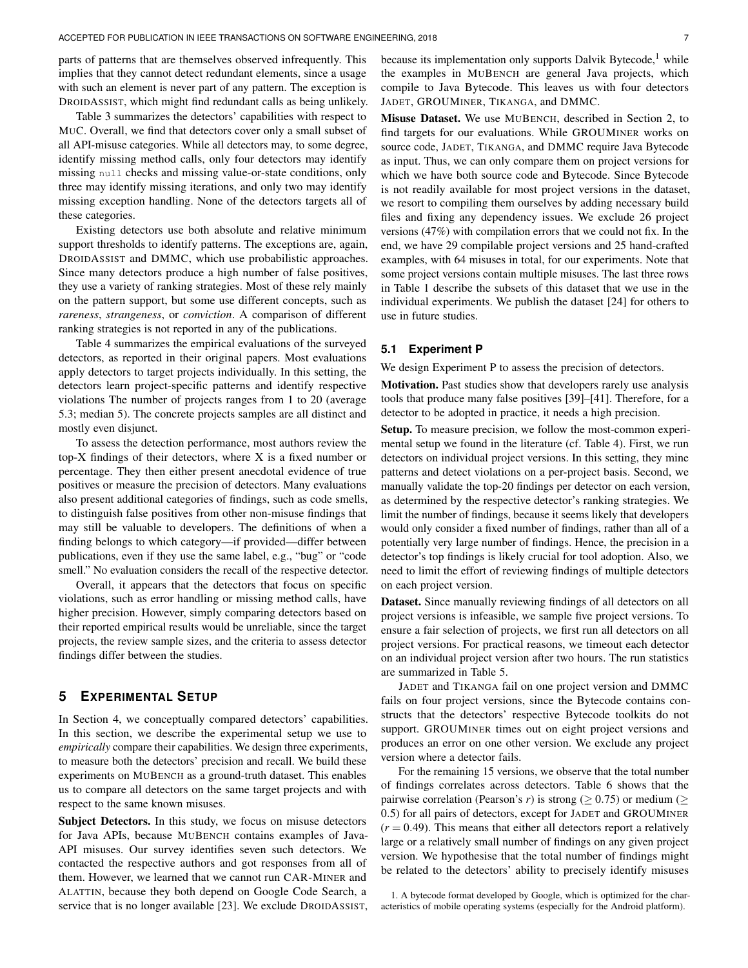parts of patterns that are themselves observed infrequently. This implies that they cannot detect redundant elements, since a usage with such an element is never part of any pattern. The exception is DROIDASSIST, which might find redundant calls as being unlikely.

[Table 3](#page-4-0) summarizes the detectors' capabilities with respect to MUC. Overall, we find that detectors cover only a small subset of all API-misuse categories. While all detectors may, to some degree, identify missing method calls, only four detectors may identify missing null checks and missing value-or-state conditions, only three may identify missing iterations, and only two may identify missing exception handling. None of the detectors targets all of these categories.

Existing detectors use both absolute and relative minimum support thresholds to identify patterns. The exceptions are, again, DROIDASSIST and DMMC, which use probabilistic approaches. Since many detectors produce a high number of false positives, they use a variety of ranking strategies. Most of these rely mainly on the pattern support, but some use different concepts, such as *rareness*, *strangeness*, or *conviction*. A comparison of different ranking strategies is not reported in any of the publications.

[Table 4](#page-4-1) summarizes the empirical evaluations of the surveyed detectors, as reported in their original papers. Most evaluations apply detectors to target projects individually. In this setting, the detectors learn project-specific patterns and identify respective violations The number of projects ranges from 1 to 20 (average 5.3; median 5). The concrete projects samples are all distinct and mostly even disjunct.

To assess the detection performance, most authors review the top-X findings of their detectors, where X is a fixed number or percentage. They then either present anecdotal evidence of true positives or measure the precision of detectors. Many evaluations also present additional categories of findings, such as code smells, to distinguish false positives from other non-misuse findings that may still be valuable to developers. The definitions of when a finding belongs to which category—if provided—differ between publications, even if they use the same label, e.g., "bug" or "code smell." No evaluation considers the recall of the respective detector.

Overall, it appears that the detectors that focus on specific violations, such as error handling or missing method calls, have higher precision. However, simply comparing detectors based on their reported empirical results would be unreliable, since the target projects, the review sample sizes, and the criteria to assess detector findings differ between the studies.

# <span id="page-6-2"></span>**5 EXPERIMENTAL SETUP**

In [Section 4,](#page-3-0) we conceptually compared detectors' capabilities. In this section, we describe the experimental setup we use to *empirically* compare their capabilities. We design three experiments, to measure both the detectors' precision and recall. We build these experiments on MUBENCH as a ground-truth dataset. This enables us to compare all detectors on the same target projects and with respect to the same known misuses.

Subject Detectors. In this study, we focus on misuse detectors for Java APIs, because MUBENCH contains examples of Java-API misuses. Our survey identifies seven such detectors. We contacted the respective authors and got responses from all of them. However, we learned that we cannot run CAR-MINER and ALATTIN, because they both depend on Google Code Search, a service that is no longer available [\[23\]](#page-16-6). We exclude DROIDASSIST, because its implementation only supports Dalvik Bytecode, $<sup>1</sup>$  $<sup>1</sup>$  $<sup>1</sup>$  while</sup> the examples in MUBENCH are general Java projects, which compile to Java Bytecode. This leaves us with four detectors JADET, GROUMINER, TIKANGA, and DMMC.

Misuse Dataset. We use MUBENCH, described in [Section 2,](#page-1-0) to find targets for our evaluations. While GROUMINER works on source code, JADET, TIKANGA, and DMMC require Java Bytecode as input. Thus, we can only compare them on project versions for which we have both source code and Bytecode. Since Bytecode is not readily available for most project versions in the dataset, we resort to compiling them ourselves by adding necessary build files and fixing any dependency issues. We exclude 26 project versions (47%) with compilation errors that we could not fix. In the end, we have 29 compilable project versions and 25 hand-crafted examples, with 64 misuses in total, for our experiments. Note that some project versions contain multiple misuses. The last three rows in [Table 1](#page-2-0) describe the subsets of this dataset that we use in the individual experiments. We publish the dataset [\[24\]](#page-16-7) for others to use in future studies.

# <span id="page-6-0"></span>**5.1 Experiment P**

We design [Experiment P](#page-6-0) to assess the precision of detectors.

Motivation. Past studies show that developers rarely use analysis tools that produce many false positives [\[39\]](#page-16-30)–[\[41\]](#page-16-31). Therefore, for a detector to be adopted in practice, it needs a high precision.

Setup. To measure precision, we follow the most-common experimental setup we found in the literature (cf. [Table 4\)](#page-4-1). First, we run detectors on individual project versions. In this setting, they mine patterns and detect violations on a per-project basis. Second, we manually validate the top-20 findings per detector on each version, as determined by the respective detector's ranking strategies. We limit the number of findings, because it seems likely that developers would only consider a fixed number of findings, rather than all of a potentially very large number of findings. Hence, the precision in a detector's top findings is likely crucial for tool adoption. Also, we need to limit the effort of reviewing findings of multiple detectors on each project version.

Dataset. Since manually reviewing findings of all detectors on all project versions is infeasible, we sample five project versions. To ensure a fair selection of projects, we first run all detectors on all project versions. For practical reasons, we timeout each detector on an individual project version after two hours. The run statistics are summarized in [Table 5.](#page-7-1)

JADET and TIKANGA fail on one project version and DMMC fails on four project versions, since the Bytecode contains constructs that the detectors' respective Bytecode toolkits do not support. GROUMINER times out on eight project versions and produces an error on one other version. We exclude any project version where a detector fails.

For the remaining 15 versions, we observe that the total number of findings correlates across detectors. [Table 6](#page-7-2) shows that the pairwise correlation (Pearson's *r*) is strong ( $\geq$  0.75) or medium ( $\geq$ 0.5) for all pairs of detectors, except for JADET and GROUMINER  $(r = 0.49)$ . This means that either all detectors report a relatively large or a relatively small number of findings on any given project version. We hypothesise that the total number of findings might be related to the detectors' ability to precisely identify misuses

<span id="page-6-1"></span>1. A bytecode format developed by Google, which is optimized for the characteristics of mobile operating systems (especially for the Android platform).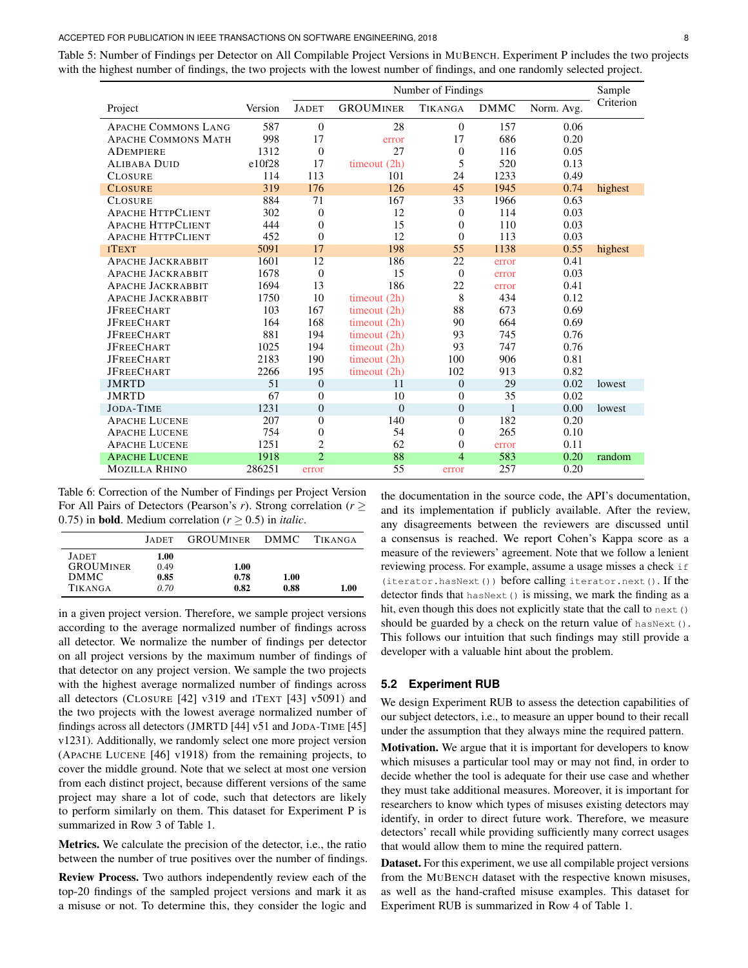#### ACCEPTED FOR PUBLICATION IN IEEE TRANSACTIONS ON SOFTWARE ENGINEERING, 2018 8

<span id="page-7-1"></span>Table 5: Number of Findings per Detector on All Compilable Project Versions in MUBENCH. [Experiment P](#page-6-0) includes the two projects with the highest number of findings, the two projects with the lowest number of findings, and one randomly selected project.

|                            |         | Number of Findings |                  |                |              |            |           |  |  |  |
|----------------------------|---------|--------------------|------------------|----------------|--------------|------------|-----------|--|--|--|
| Project                    | Version | <b>JADET</b>       | <b>GROUMINER</b> | <b>TIKANGA</b> | <b>DMMC</b>  | Norm. Avg. | Criterion |  |  |  |
| <b>APACHE COMMONS LANG</b> | 587     | $\overline{0}$     | 28               | $\mathbf{0}$   | 157          | 0.06       |           |  |  |  |
| <b>APACHE COMMONS MATH</b> | 998     | 17                 | error            | 17             | 686          | 0.20       |           |  |  |  |
| <b>ADEMPIERE</b>           | 1312    | $\overline{0}$     | 27               | $\mathbf{0}$   | 116          | 0.05       |           |  |  |  |
| <b>ALIBABA DUID</b>        | e10f28  | 17                 | timeout (2h)     | 5              | 520          | 0.13       |           |  |  |  |
| <b>CLOSURE</b>             | 114     | 113                | 101              | 24             | 1233         | 0.49       |           |  |  |  |
| <b>CLOSURE</b>             | 319     | 176                | 126              | 45             | 1945         | 0.74       | highest   |  |  |  |
| <b>CLOSURE</b>             | 884     | 71                 | 167              | 33             | 1966         | 0.63       |           |  |  |  |
| <b>APACHE HTTPCLIENT</b>   | 302     | $\overline{0}$     | 12               | $\mathbf{0}$   | 114          | 0.03       |           |  |  |  |
| <b>APACHE HTTPCLIENT</b>   | 444     | $\overline{0}$     | 15               | $\Omega$       | 110          | 0.03       |           |  |  |  |
| <b>APACHE HTTPCLIENT</b>   | 452     | $\overline{0}$     | 12               | $\Omega$       | 113          | 0.03       |           |  |  |  |
| <b>ITEXT</b>               | 5091    | 17                 | 198              | 55             | 1138         | 0.55       | highest   |  |  |  |
| <b>APACHE JACKRABBIT</b>   | 1601    | 12                 | 186              | 22             | error        | 0.41       |           |  |  |  |
| <b>APACHE JACKRABBIT</b>   | 1678    | $\overline{0}$     | 15               | $\Omega$       | error        | 0.03       |           |  |  |  |
| <b>APACHE JACKRABBIT</b>   | 1694    | 13                 | 186              | 22             | error        | 0.41       |           |  |  |  |
| <b>APACHE JACKRABBIT</b>   | 1750    | 10                 | timeout (2h)     | 8              | 434          | 0.12       |           |  |  |  |
| <b>JFREECHART</b>          | 103     | 167                | timeout $(2h)$   | 88             | 673          | 0.69       |           |  |  |  |
| <b>JFREECHART</b>          | 164     | 168                | timeout (2h)     | 90             | 664          | 0.69       |           |  |  |  |
| <b>JFREECHART</b>          | 881     | 194                | timeout $(2h)$   | 93             | 745          | 0.76       |           |  |  |  |
| <b>JFREECHART</b>          | 1025    | 194                | timeout $(2h)$   | 93             | 747          | 0.76       |           |  |  |  |
| <b>JFREECHART</b>          | 2183    | 190                | timeout (2h)     | 100            | 906          | 0.81       |           |  |  |  |
| <b>JFREECHART</b>          | 2266    | 195                | timeout $(2h)$   | 102            | 913          | 0.82       |           |  |  |  |
| <b>JMRTD</b>               | 51      | $\theta$           | 11               | $\Omega$       | 29           | 0.02       | lowest    |  |  |  |
| <b>JMRTD</b>               | 67      | $\boldsymbol{0}$   | 10               | $\mathbf{0}$   | 35           | 0.02       |           |  |  |  |
| <b>JODA-TIME</b>           | 1231    | $\boldsymbol{0}$   | $\overline{0}$   | $\overline{0}$ | $\mathbf{1}$ | 0.00       | lowest    |  |  |  |
| <b>APACHE LUCENE</b>       | 207     | $\overline{0}$     | 140              | $\mathbf{0}$   | 182          | 0.20       |           |  |  |  |
| <b>APACHE LUCENE</b>       | 754     | $\boldsymbol{0}$   | 54               | $\mathbf{0}$   | 265          | 0.10       |           |  |  |  |
| <b>APACHE LUCENE</b>       | 1251    | $\overline{2}$     | 62               | $\mathbf{0}$   | error        | 0.11       |           |  |  |  |
| <b>APACHE LUCENE</b>       | 1918    | $\overline{2}$     | 88               | $\overline{4}$ | 583          | 0.20       | random    |  |  |  |
| <b>MOZILLA RHINO</b>       | 286251  | error              | 55               | error          | 257          | 0.20       |           |  |  |  |

<span id="page-7-2"></span>Table 6: Correction of the Number of Findings per Project Version For All Pairs of Detectors (Pearson's *r*). Strong correlation (*r* ≥ 0.75) in **bold**. Medium correlation  $(r > 0.5)$  in *italic*.

|                                  | <b>JADET</b> | <b>GROUMINER</b> | <b>DMMC</b>  | <b>TIKANGA</b> |
|----------------------------------|--------------|------------------|--------------|----------------|
| <b>JADET</b><br><b>GROUMINER</b> | 1.00<br>0.49 | 1.00             |              |                |
| <b>DMMC</b><br><b>TIKANGA</b>    | 0.85<br>0.70 | 0.78<br>0.82     | 1.00<br>0.88 | 1.00           |

in a given project version. Therefore, we sample project versions according to the average normalized number of findings across all detector. We normalize the number of findings per detector on all project versions by the maximum number of findings of that detector on any project version. We sample the two projects with the highest average normalized number of findings across all detectors (CLOSURE [\[42\]](#page-16-32) v319 and ITEXT [\[43\]](#page-16-33) v5091) and the two projects with the lowest average normalized number of findings across all detectors (JMRTD [\[44\]](#page-16-34) v51 and JODA-TIME [\[45\]](#page-16-35) v1231). Additionally, we randomly select one more project version (APACHE LUCENE [\[46\]](#page-16-36) v1918) from the remaining projects, to cover the middle ground. Note that we select at most one version from each distinct project, because different versions of the same project may share a lot of code, such that detectors are likely to perform similarly on them. This dataset for [Experiment P](#page-6-0) is summarized in Row 3 of [Table 1.](#page-2-0)

Metrics. We calculate the precision of the detector, i.e., the ratio between the number of true positives over the number of findings.

Review Process. Two authors independently review each of the top-20 findings of the sampled project versions and mark it as a misuse or not. To determine this, they consider the logic and

the documentation in the source code, the API's documentation, and its implementation if publicly available. After the review, any disagreements between the reviewers are discussed until a consensus is reached. We report Cohen's Kappa score as a measure of the reviewers' agreement. Note that we follow a lenient reviewing process. For example, assume a usage misses a check if (iterator.hasNext()) before calling iterator.next(). If the detector finds that hasNext () is missing, we mark the finding as a hit, even though this does not explicitly state that the call to next () should be guarded by a check on the return value of  $hasNext()$ . This follows our intuition that such findings may still provide a developer with a valuable hint about the problem.

## <span id="page-7-0"></span>**5.2 Experiment RUB**

We design [Experiment RUB](#page-7-0) to assess the detection capabilities of our subject detectors, i.e., to measure an upper bound to their recall under the assumption that they always mine the required pattern.

Motivation. We argue that it is important for developers to know which misuses a particular tool may or may not find, in order to decide whether the tool is adequate for their use case and whether they must take additional measures. Moreover, it is important for researchers to know which types of misuses existing detectors may identify, in order to direct future work. Therefore, we measure detectors' recall while providing sufficiently many correct usages that would allow them to mine the required pattern.

Dataset. For this experiment, we use all compilable project versions from the MUBENCH dataset with the respective known misuses, as well as the hand-crafted misuse examples. This dataset for [Experiment RUB](#page-7-0) is summarized in Row 4 of [Table 1.](#page-2-0)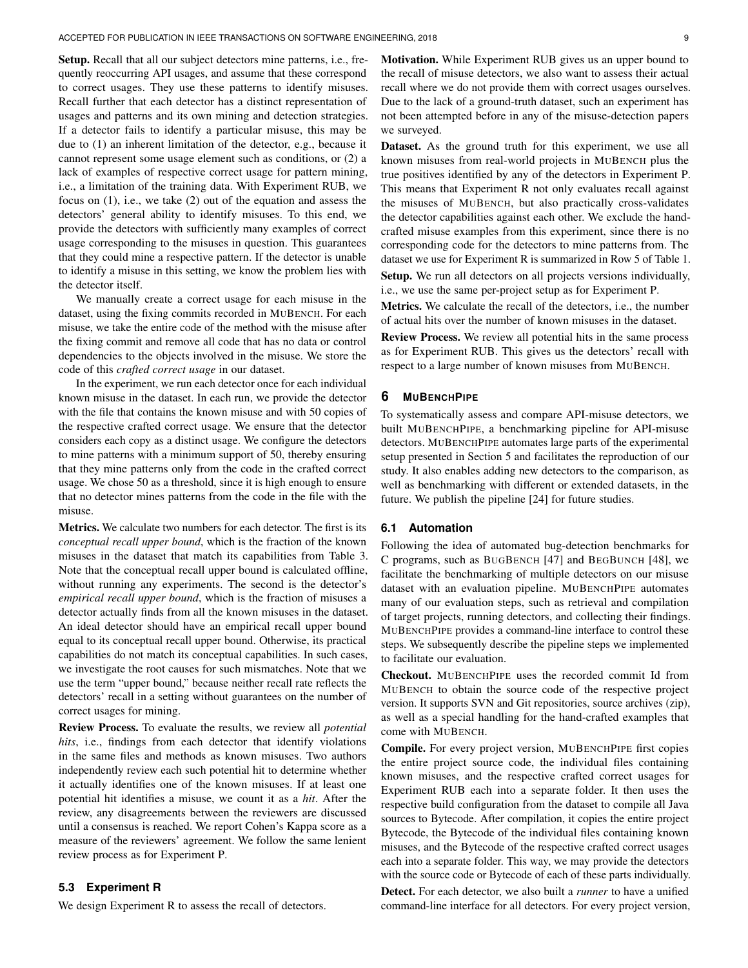Setup. Recall that all our subject detectors mine patterns, i.e., frequently reoccurring API usages, and assume that these correspond to correct usages. They use these patterns to identify misuses. Recall further that each detector has a distinct representation of usages and patterns and its own mining and detection strategies. If a detector fails to identify a particular misuse, this may be due to (1) an inherent limitation of the detector, e.g., because it cannot represent some usage element such as conditions, or (2) a lack of examples of respective correct usage for pattern mining, i.e., a limitation of the training data. With [Experiment RUB,](#page-7-0) we focus on (1), i.e., we take (2) out of the equation and assess the detectors' general ability to identify misuses. To this end, we provide the detectors with sufficiently many examples of correct usage corresponding to the misuses in question. This guarantees that they could mine a respective pattern. If the detector is unable to identify a misuse in this setting, we know the problem lies with the detector itself.

We manually create a correct usage for each misuse in the dataset, using the fixing commits recorded in MUBENCH. For each misuse, we take the entire code of the method with the misuse after the fixing commit and remove all code that has no data or control dependencies to the objects involved in the misuse. We store the code of this *crafted correct usage* in our dataset.

In the experiment, we run each detector once for each individual known misuse in the dataset. In each run, we provide the detector with the file that contains the known misuse and with 50 copies of the respective crafted correct usage. We ensure that the detector considers each copy as a distinct usage. We configure the detectors to mine patterns with a minimum support of 50, thereby ensuring that they mine patterns only from the code in the crafted correct usage. We chose 50 as a threshold, since it is high enough to ensure that no detector mines patterns from the code in the file with the misuse.

Metrics. We calculate two numbers for each detector. The first is its *conceptual recall upper bound*, which is the fraction of the known misuses in the dataset that match its capabilities from [Table 3.](#page-4-0) Note that the conceptual recall upper bound is calculated offline, without running any experiments. The second is the detector's *empirical recall upper bound*, which is the fraction of misuses a detector actually finds from all the known misuses in the dataset. An ideal detector should have an empirical recall upper bound equal to its conceptual recall upper bound. Otherwise, its practical capabilities do not match its conceptual capabilities. In such cases, we investigate the root causes for such mismatches. Note that we use the term "upper bound," because neither recall rate reflects the detectors' recall in a setting without guarantees on the number of correct usages for mining.

Review Process. To evaluate the results, we review all *potential hits*, i.e., findings from each detector that identify violations in the same files and methods as known misuses. Two authors independently review each such potential hit to determine whether it actually identifies one of the known misuses. If at least one potential hit identifies a misuse, we count it as a *hit*. After the review, any disagreements between the reviewers are discussed until a consensus is reached. We report Cohen's Kappa score as a measure of the reviewers' agreement. We follow the same lenient review process as for [Experiment P.](#page-6-0)

# <span id="page-8-0"></span>**5.3 Experiment R**

We design [Experiment R](#page-8-0) to assess the recall of detectors.

Motivation. While [Experiment RUB](#page-7-0) gives us an upper bound to the recall of misuse detectors, we also want to assess their actual recall where we do not provide them with correct usages ourselves. Due to the lack of a ground-truth dataset, such an experiment has not been attempted before in any of the misuse-detection papers we surveyed.

Dataset. As the ground truth for this experiment, we use all known misuses from real-world projects in MUBENCH plus the true positives identified by any of the detectors in [Experiment P.](#page-6-0) This means that [Experiment R](#page-8-0) not only evaluates recall against the misuses of MUBENCH, but also practically cross-validates the detector capabilities against each other. We exclude the handcrafted misuse examples from this experiment, since there is no corresponding code for the detectors to mine patterns from. The dataset we use for [Experiment R](#page-8-0) is summarized in Row 5 of [Table 1.](#page-2-0)

Setup. We run all detectors on all projects versions individually, i.e., we use the same per-project setup as for [Experiment P.](#page-6-0)

Metrics. We calculate the recall of the detectors, i.e., the number of actual hits over the number of known misuses in the dataset.

Review Process. We review all potential hits in the same process as for [Experiment RUB.](#page-7-0) This gives us the detectors' recall with respect to a large number of known misuses from MUBENCH.

# **6 MUBENCHPIPE**

To systematically assess and compare API-misuse detectors, we built MUBENCHPIPE, a benchmarking pipeline for API-misuse detectors. MUBENCHPIPE automates large parts of the experimental setup presented in [Section 5](#page-6-2) and facilitates the reproduction of our study. It also enables adding new detectors to the comparison, as well as benchmarking with different or extended datasets, in the future. We publish the pipeline [\[24\]](#page-16-7) for future studies.

# **6.1 Automation**

Following the idea of automated bug-detection benchmarks for C programs, such as BUGBENCH [\[47\]](#page-16-37) and BEGBUNCH [\[48\]](#page-16-38), we facilitate the benchmarking of multiple detectors on our misuse dataset with an evaluation pipeline. MUBENCHPIPE automates many of our evaluation steps, such as retrieval and compilation of target projects, running detectors, and collecting their findings. MUBENCHPIPE provides a command-line interface to control these steps. We subsequently describe the pipeline steps we implemented to facilitate our evaluation.

Checkout. MUBENCHPIPE uses the recorded commit Id from MUBENCH to obtain the source code of the respective project version. It supports SVN and Git repositories, source archives (zip), as well as a special handling for the hand-crafted examples that come with MUBENCH.

Compile. For every project version, MUBENCHPIPE first copies the entire project source code, the individual files containing known misuses, and the respective crafted correct usages for [Experiment RUB](#page-7-0) each into a separate folder. It then uses the respective build configuration from the dataset to compile all Java sources to Bytecode. After compilation, it copies the entire project Bytecode, the Bytecode of the individual files containing known misuses, and the Bytecode of the respective crafted correct usages each into a separate folder. This way, we may provide the detectors with the source code or Bytecode of each of these parts individually.

Detect. For each detector, we also built a *runner* to have a unified command-line interface for all detectors. For every project version,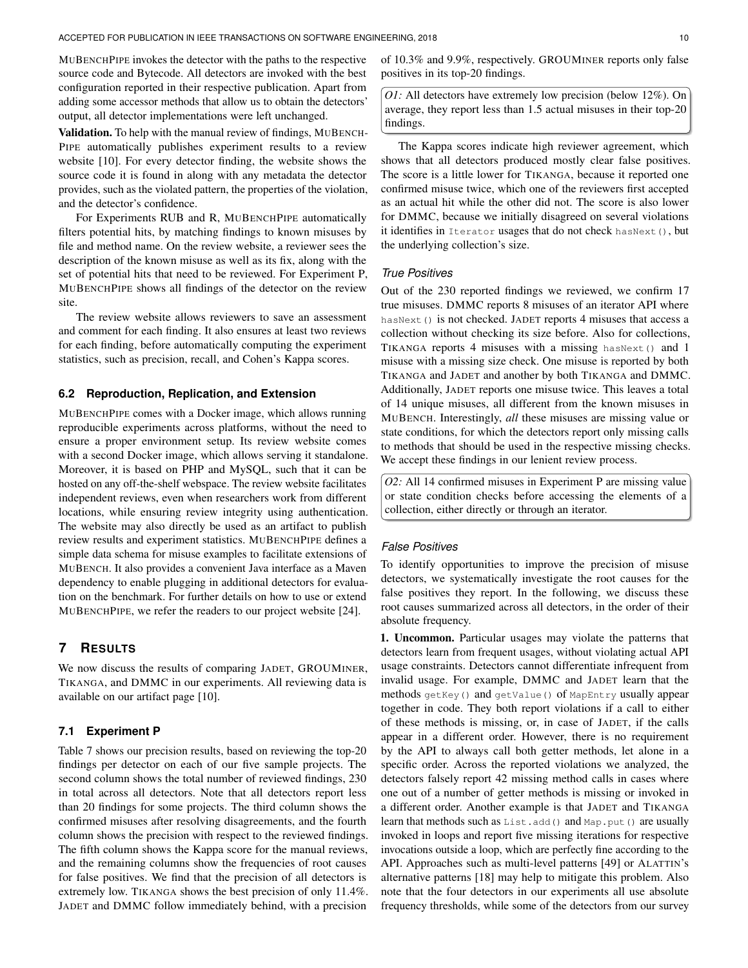MUBENCHPIPE invokes the detector with the paths to the respective source code and Bytecode. All detectors are invoked with the best configuration reported in their respective publication. Apart from adding some accessor methods that allow us to obtain the detectors' output, all detector implementations were left unchanged.

Validation. To help with the manual review of findings, MUBENCH-PIPE automatically publishes experiment results to a review website [\[10\]](#page-16-1). For every detector finding, the website shows the source code it is found in along with any metadata the detector provides, such as the violated pattern, the properties of the violation, and the detector's confidence.

For Experiments RUB and R, MUBENCHPIPE automatically filters potential hits, by matching findings to known misuses by file and method name. On the review website, a reviewer sees the description of the known misuse as well as its fix, along with the set of potential hits that need to be reviewed. For [Experiment P,](#page-6-0) MUBENCHPIPE shows all findings of the detector on the review site.

The review website allows reviewers to save an assessment and comment for each finding. It also ensures at least two reviews for each finding, before automatically computing the experiment statistics, such as precision, recall, and Cohen's Kappa scores.

#### **6.2 Reproduction, Replication, and Extension**

MUBENCHPIPE comes with a Docker image, which allows running reproducible experiments across platforms, without the need to ensure a proper environment setup. Its review website comes with a second Docker image, which allows serving it standalone. Moreover, it is based on PHP and MySQL, such that it can be hosted on any off-the-shelf webspace. The review website facilitates independent reviews, even when researchers work from different locations, while ensuring review integrity using authentication. The website may also directly be used as an artifact to publish review results and experiment statistics. MUBENCHPIPE defines a simple data schema for misuse examples to facilitate extensions of MUBENCH. It also provides a convenient Java interface as a Maven dependency to enable plugging in additional detectors for evaluation on the benchmark. For further details on how to use or extend MUBENCHPIPE, we refer the readers to our project website [\[24\]](#page-16-7).

# <span id="page-9-0"></span>**7 RESULTS**

We now discuss the results of comparing JADET, GROUMINER, TIKANGA, and DMMC in our experiments. All reviewing data is available on our artifact page [\[10\]](#page-16-1).

# **7.1 [Experiment P](#page-6-0)**

[Table 7](#page-10-0) shows our precision results, based on reviewing the top-20 findings per detector on each of our five sample projects. The second column shows the total number of reviewed findings, 230 in total across all detectors. Note that all detectors report less than 20 findings for some projects. The third column shows the confirmed misuses after resolving disagreements, and the fourth column shows the precision with respect to the reviewed findings. The fifth column shows the Kappa score for the manual reviews, and the remaining columns show the frequencies of root causes for false positives. We find that the precision of all detectors is extremely low. TIKANGA shows the best precision of only 11.4%. JADET and DMMC follow immediately behind, with a precision

of 10.3% and 9.9%, respectively. GROUMINER reports only false positives in its top-20 findings.

<span id="page-9-1"></span>*O1:* All detectors have extremely low precision (below 12%). On average, they report less than 1.5 actual misuses in their top-20 findings.

The Kappa scores indicate high reviewer agreement, which shows that all detectors produced mostly clear false positives. The score is a little lower for TIKANGA, because it reported one confirmed misuse twice, which one of the reviewers first accepted as an actual hit while the other did not. The score is also lower for DMMC, because we initially disagreed on several violations it identifies in Iterator usages that do not check hasNext(), but the underlying collection's size.

## *True Positives*

Out of the 230 reported findings we reviewed, we confirm 17 true misuses. DMMC reports 8 misuses of an iterator API where hasNext() is not checked. JADET reports 4 misuses that access a collection without checking its size before. Also for collections, TIKANGA reports 4 misuses with a missing hasNext() and 1 misuse with a missing size check. One misuse is reported by both TIKANGA and JADET and another by both TIKANGA and DMMC. Additionally, JADET reports one misuse twice. This leaves a total of 14 unique misuses, all different from the known misuses in MUBENCH. Interestingly, *all* these misuses are missing value or state conditions, for which the detectors report only missing calls to methods that should be used in the respective missing checks. We accept these findings in our lenient review process.

<span id="page-9-2"></span>*O2:* All 14 confirmed misuses in [Experiment P](#page-6-0) are missing value or state condition checks before accessing the elements of a collection, either directly or through an iterator.

#### *False Positives*

To identify opportunities to improve the precision of misuse detectors, we systematically investigate the root causes for the false positives they report. In the following, we discuss these root causes summarized across all detectors, in the order of their absolute frequency.

1. Uncommon. Particular usages may violate the patterns that detectors learn from frequent usages, without violating actual API usage constraints. Detectors cannot differentiate infrequent from invalid usage. For example, DMMC and JADET learn that the methods getKey() and getValue() of MapEntry usually appear together in code. They both report violations if a call to either of these methods is missing, or, in case of JADET, if the calls appear in a different order. However, there is no requirement by the API to always call both getter methods, let alone in a specific order. Across the reported violations we analyzed, the detectors falsely report 42 missing method calls in cases where one out of a number of getter methods is missing or invoked in a different order. Another example is that JADET and TIKANGA learn that methods such as List.add() and Map.put() are usually invoked in loops and report five missing iterations for respective invocations outside a loop, which are perfectly fine according to the API. Approaches such as multi-level patterns [\[49\]](#page-16-39) or ALATTIN's alternative patterns [\[18\]](#page-16-23) may help to mitigate this problem. Also note that the four detectors in our experiments all use absolute frequency thresholds, while some of the detectors from our survey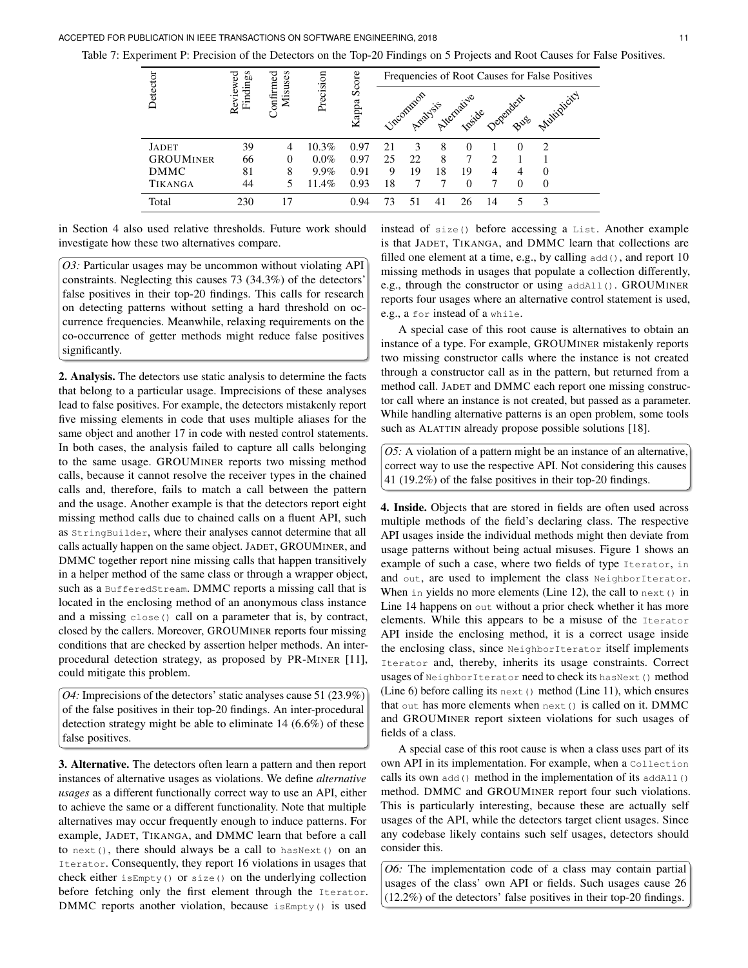<span id="page-10-0"></span>Table 7: [Experiment P:](#page-6-0) Precision of the Detectors on the Top-20 Findings on 5 Projects and Root Causes for False Positives.

|                  |                      |                      |           | Score | Frequencies of Root Causes for False Positives |    |    |    |    |                                       |          |  |
|------------------|----------------------|----------------------|-----------|-------|------------------------------------------------|----|----|----|----|---------------------------------------|----------|--|
| Detector         | Findings<br>Reviewed | Confirmed<br>Misuses | Precision | Kappa |                                                |    |    |    |    | Upcommon Avenantie Dependent Municipi |          |  |
| JADET            | 39                   | 4                    | 10.3%     | 0.97  | 21                                             |    | 8  |    |    | $\theta$                              | ↑        |  |
| <b>GROUMINER</b> | 66                   | 0                    | $0.0\%$   | 0.97  | 25                                             | 22 | 8  |    |    |                                       |          |  |
| DMMC             | 81                   | 8                    | $9.9\%$   | 0.91  | 9                                              | 19 | 18 | 19 | 4  |                                       |          |  |
| TIKANGA          | 44                   |                      | 11.4%     | 0.93  | 18                                             |    |    |    |    | $\Omega$                              | $\Omega$ |  |
| Total            | 230                  | 17                   |           | 0.94  | 73                                             | 51 | 41 |    | 14 |                                       | 3        |  |

in [Section 4](#page-3-0) also used relative thresholds. Future work should investigate how these two alternatives compare.

<span id="page-10-3"></span>*O3:* Particular usages may be uncommon without violating API constraints. Neglecting this causes 73 (34.3%) of the detectors' false positives in their top-20 findings. This calls for research on detecting patterns without setting a hard threshold on occurrence frequencies. Meanwhile, relaxing requirements on the co-occurrence of getter methods might reduce false positives significantly.

2. Analysis. The detectors use static analysis to determine the facts that belong to a particular usage. Imprecisions of these analyses lead to false positives. For example, the detectors mistakenly report five missing elements in code that uses multiple aliases for the same object and another 17 in code with nested control statements. In both cases, the analysis failed to capture all calls belonging to the same usage. GROUMINER reports two missing method calls, because it cannot resolve the receiver types in the chained calls and, therefore, fails to match a call between the pattern and the usage. Another example is that the detectors report eight missing method calls due to chained calls on a fluent API, such as StringBuilder, where their analyses cannot determine that all calls actually happen on the same object. JADET, GROUMINER, and DMMC together report nine missing calls that happen transitively in a helper method of the same class or through a wrapper object, such as a BufferedStream. DMMC reports a missing call that is located in the enclosing method of an anonymous class instance and a missing close() call on a parameter that is, by contract, closed by the callers. Moreover, GROUMINER reports four missing conditions that are checked by assertion helper methods. An interprocedural detection strategy, as proposed by PR-MINER [\[11\]](#page-16-2), could mitigate this problem.

<span id="page-10-2"></span>*O4:* Imprecisions of the detectors' static analyses cause 51 (23.9%) of the false positives in their top-20 findings. An inter-procedural detection strategy might be able to eliminate 14 (6.6%) of these false positives.

3. Alternative. The detectors often learn a pattern and then report instances of alternative usages as violations. We define *alternative usages* as a different functionally correct way to use an API, either to achieve the same or a different functionality. Note that multiple alternatives may occur frequently enough to induce patterns. For example, JADET, TIKANGA, and DMMC learn that before a call to next(), there should always be a call to hasNext() on an Iterator. Consequently, they report 16 violations in usages that check either isEmpty() or size() on the underlying collection before fetching only the first element through the Iterator. DMMC reports another violation, because isEmpty() is used

instead of size() before accessing a List. Another example is that JADET, TIKANGA, and DMMC learn that collections are filled one element at a time, e.g., by calling  $add()$ , and report 10 missing methods in usages that populate a collection differently, e.g., through the constructor or using addAll(). GROUMINER reports four usages where an alternative control statement is used, e.g., a for instead of a while.

A special case of this root cause is alternatives to obtain an instance of a type. For example, GROUMINER mistakenly reports two missing constructor calls where the instance is not created through a constructor call as in the pattern, but returned from a method call. JADET and DMMC each report one missing constructor call where an instance is not created, but passed as a parameter. While handling alternative patterns is an open problem, some tools such as ALATTIN already propose possible solutions [\[18\]](#page-16-23).

<span id="page-10-4"></span>*O5:* A violation of a pattern might be an instance of an alternative, correct way to use the respective API. Not considering this causes 41 (19.2%) of the false positives in their top-20 findings.

4. Inside. Objects that are stored in fields are often used across multiple methods of the field's declaring class. The respective API usages inside the individual methods might then deviate from usage patterns without being actual misuses. [Figure 1](#page-11-0) shows an example of such a case, where two fields of type Iterator, in and out, are used to implement the class NeighborIterator. When in yields no more elements (Line [12\)](#page-11-1), the call to  $next()$  in Line [14](#page-11-2) happens on out without a prior check whether it has more elements. While this appears to be a misuse of the Iterator API inside the enclosing method, it is a correct usage inside the enclosing class, since NeighborIterator itself implements Iterator and, thereby, inherits its usage constraints. Correct usages of NeighborIterator need to check its hasNext () method (Line [6\)](#page-11-3) before calling its next() method (Line [11\)](#page-11-4), which ensures that out has more elements when next() is called on it. DMMC and GROUMINER report sixteen violations for such usages of fields of a class.

A special case of this root cause is when a class uses part of its own API in its implementation. For example, when a Collection calls its own  $add()$  method in the implementation of its  $addAll()$ method. DMMC and GROUMINER report four such violations. This is particularly interesting, because these are actually self usages of the API, while the detectors target client usages. Since any codebase likely contains such self usages, detectors should consider this.

<span id="page-10-1"></span>*O6:* The implementation code of a class may contain partial usages of the class' own API or fields. Such usages cause 26 (12.2%) of the detectors' false positives in their top-20 findings.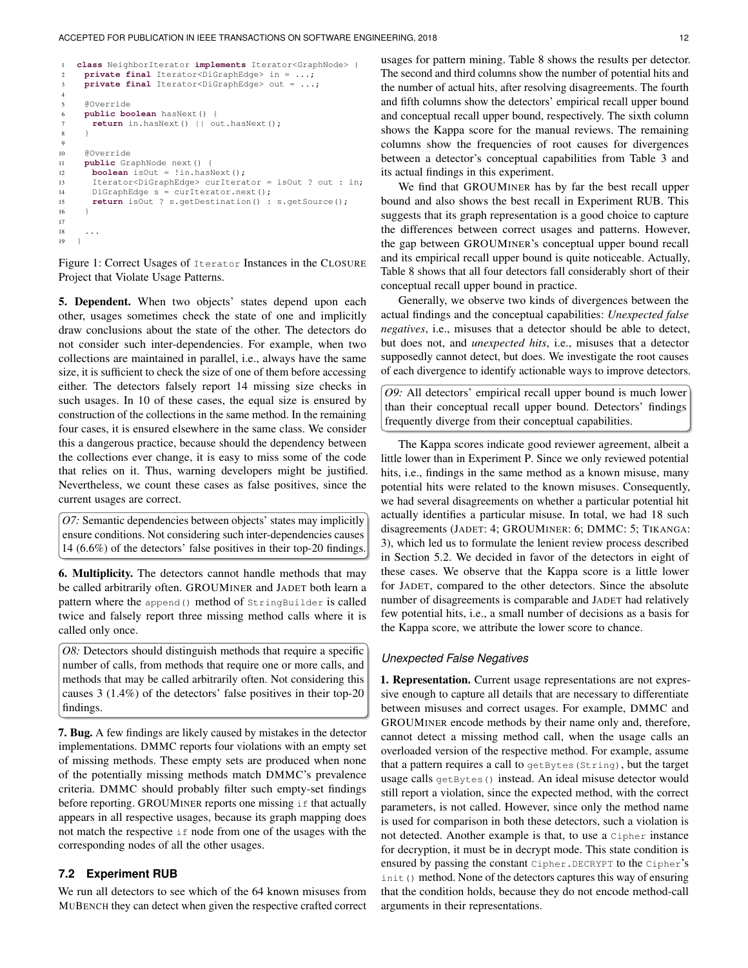```
1 class NeighborIterator implements Iterator<GraphNode> {
2 private final Iterator<DiGraphEdge> in = ...;
3 private final Iterator<DiGraphEdge> out = ...;
 4
5 @Override
6 public boolean hasNext() {
7 return in.hasNext() || out.hasNext();
 8 }
9
10 @Override
11 public GraphNode next() {
12 boolean isOut = !in.hasNext();
13 Iterator<DiGraphEdge> curIterator = isOut ? out : in;
14 DiGraphEdge s = curIterator.next();
15 return isOut ? s.getDestination() : s.getSource();
16 }
17
18 ...
19 \}
```
<span id="page-11-2"></span><span id="page-11-1"></span>Figure 1: Correct Usages of Iterator Instances in the CLOSURE Project that Violate Usage Patterns.

5. Dependent. When two objects' states depend upon each other, usages sometimes check the state of one and implicitly draw conclusions about the state of the other. The detectors do not consider such inter-dependencies. For example, when two collections are maintained in parallel, i.e., always have the same size, it is sufficient to check the size of one of them before accessing either. The detectors falsely report 14 missing size checks in such usages. In 10 of these cases, the equal size is ensured by construction of the collections in the same method. In the remaining four cases, it is ensured elsewhere in the same class. We consider this a dangerous practice, because should the dependency between the collections ever change, it is easy to miss some of the code that relies on it. Thus, warning developers might be justified. Nevertheless, we count these cases as false positives, since the current usages are correct.

<span id="page-11-6"></span>*O7:* Semantic dependencies between objects' states may implicitly ensure conditions. Not considering such inter-dependencies causes 14 (6.6%) of the detectors' false positives in their top-20 findings.

6. Multiplicity. The detectors cannot handle methods that may be called arbitrarily often. GROUMINER and JADET both learn a pattern where the append() method of StringBuilder is called twice and falsely report three missing method calls where it is called only once.

<span id="page-11-5"></span>*O8:* Detectors should distinguish methods that require a specific number of calls, from methods that require one or more calls, and methods that may be called arbitrarily often. Not considering this causes 3 (1.4%) of the detectors' false positives in their top-20 findings.

7. Bug. A few findings are likely caused by mistakes in the detector implementations. DMMC reports four violations with an empty set of missing methods. These empty sets are produced when none of the potentially missing methods match DMMC's prevalence criteria. DMMC should probably filter such empty-set findings before reporting. GROUMINER reports one missing  $\exists$  f that actually appears in all respective usages, because its graph mapping does not match the respective if node from one of the usages with the corresponding nodes of all the other usages.

# **7.2 [Experiment RUB](#page-7-0)**

We run all detectors to see which of the 64 known misuses from MUBENCH they can detect when given the respective crafted correct

usages for pattern mining. [Table 8](#page-12-0) shows the results per detector. The second and third columns show the number of potential hits and the number of actual hits, after resolving disagreements. The fourth and fifth columns show the detectors' empirical recall upper bound and conceptual recall upper bound, respectively. The sixth column shows the Kappa score for the manual reviews. The remaining columns show the frequencies of root causes for divergences between a detector's conceptual capabilities from [Table 3](#page-4-0) and its actual findings in this experiment.

We find that GROUMINER has by far the best recall upper bound and also shows the best recall in [Experiment RUB.](#page-7-0) This suggests that its graph representation is a good choice to capture the differences between correct usages and patterns. However, the gap between GROUMINER's conceptual upper bound recall and its empirical recall upper bound is quite noticeable. Actually, [Table 8](#page-12-0) shows that all four detectors fall considerably short of their conceptual recall upper bound in practice.

Generally, we observe two kinds of divergences between the actual findings and the conceptual capabilities: *Unexpected false negatives*, i.e., misuses that a detector should be able to detect, but does not, and *unexpected hits*, i.e., misuses that a detector supposedly cannot detect, but does. We investigate the root causes of each divergence to identify actionable ways to improve detectors.

<span id="page-11-7"></span>*O9:* All detectors' empirical recall upper bound is much lower than their conceptual recall upper bound. Detectors' findings frequently diverge from their conceptual capabilities.

The Kappa scores indicate good reviewer agreement, albeit a little lower than in [Experiment P.](#page-6-0) Since we only reviewed potential hits, *i.e.*, findings in the same method as a known misuse, many potential hits were related to the known misuses. Consequently, we had several disagreements on whether a particular potential hit actually identifies a particular misuse. In total, we had 18 such disagreements (JADET: 4; GROUMINER: 6; DMMC: 5; TIKANGA: 3), which led us to formulate the lenient review process described in [Section 5.2.](#page-7-0) We decided in favor of the detectors in eight of these cases. We observe that the Kappa score is a little lower for JADET, compared to the other detectors. Since the absolute number of disagreements is comparable and JADET had relatively few potential hits, i.e., a small number of decisions as a basis for the Kappa score, we attribute the lower score to chance.

# *Unexpected False Negatives*

1. Representation. Current usage representations are not expressive enough to capture all details that are necessary to differentiate between misuses and correct usages. For example, DMMC and GROUMINER encode methods by their name only and, therefore, cannot detect a missing method call, when the usage calls an overloaded version of the respective method. For example, assume that a pattern requires a call to getBytes(String), but the target usage calls getBytes() instead. An ideal misuse detector would still report a violation, since the expected method, with the correct parameters, is not called. However, since only the method name is used for comparison in both these detectors, such a violation is not detected. Another example is that, to use a Cipher instance for decryption, it must be in decrypt mode. This state condition is ensured by passing the constant Cipher. DECRYPT to the Cipher's init() method. None of the detectors captures this way of ensuring that the condition holds, because they do not encode method-call arguments in their representations.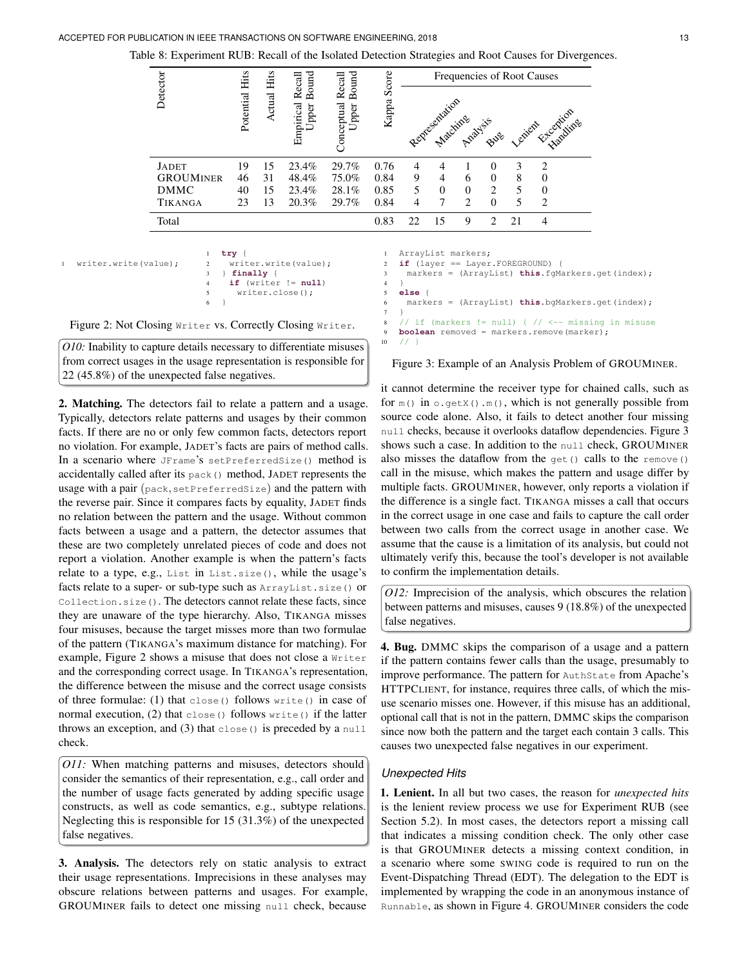<span id="page-12-0"></span>Table 8: [Experiment RUB:](#page-7-0) Recall of the Isolated Detection Strategies and Root Causes for Divergences.

|                  |                | Hits        | Hits   | <b>Bound</b><br>Recall | <b>Bound</b><br>Recall | Score                            |                    |          |                |                |    | Frequencies of Root Causes                                                             |
|------------------|----------------|-------------|--------|------------------------|------------------------|----------------------------------|--------------------|----------|----------------|----------------|----|----------------------------------------------------------------------------------------|
| Detector         |                | Potential   | Actual | Empirical<br>Upper 1   | Conceptual<br>Upper    | Kappa                            |                    |          |                |                |    | Representation And Sister Lenien Franchise                                             |
| <b>JADET</b>     |                | 19          | 15     | 23.4%                  | 29.7%                  | 0.76                             | 4                  | 4        | 1              | $\left($       | 3  | 2                                                                                      |
| <b>GROUMINER</b> |                | 46          | 31     | 48.4%                  | 75.0%                  | 0.84                             | 9                  | 4        | 6              | $\Omega$       | 8  | $\Omega$                                                                               |
| <b>DMMC</b>      |                | 40          | 15     | 23.4%                  | 28.1%                  | 0.85                             | 5.                 | $\theta$ | $\overline{0}$ | 2              | 5  | $\Omega$                                                                               |
| TIKANGA          |                | 23          | 13     | 20.3%                  | 29.7%                  | 0.84                             | $\overline{4}$     | 7        | 2              | $\Omega$       | 5  | 2                                                                                      |
| Total            |                |             |        |                        |                        | 0.83                             | 22                 | 15       | 9              | $\mathfrak{D}$ | 21 | 4                                                                                      |
|                  |                |             |        |                        |                        |                                  |                    |          |                |                |    |                                                                                        |
| $e$ (value);     |                | $try$ {     |        |                        |                        | $\mathbf{1}$                     | ArrayList markers; |          |                |                |    |                                                                                        |
|                  | 2<br>3         | $finally$ { |        | writer.write(value);   |                        | $\overline{2}$<br>$\overline{3}$ |                    |          |                |                |    | if $(layer == Layer.FOREGROWND)$ {<br>markers = (ArrayList) this.fqMarkers.get(index); |
|                  | $\overline{4}$ |             |        | if (writer $!=$ null)  |                        | $\overline{4}$                   |                    |          |                |                |    |                                                                                        |
|                  | 5              |             |        | $writer.close()$ ;     |                        | 5                                | $else {$           |          |                |                |    |                                                                                        |

 $10 / /$  }

<span id="page-12-2"></span><sup>6</sup> markers = (ArrayList) **this**.bgMarkers.get(index);

**boolean** removed = markers.remove(marker);

```
Figure 2: Not Closing Writer vs. Correctly Closing Writer.
                                                                                      \overline{7}8 \frac{1}{\sqrt{2}} if (markers != null) { \frac{1}{\sqrt{2}} <-- missing in misuse
```
<span id="page-12-3"></span>*O10:* Inability to capture details necessary to differentiate misuses from correct usages in the usage representation is responsible for 22 (45.8%) of the unexpected false negatives.

6 }

<span id="page-12-1"></span>writer.writ

2. Matching. The detectors fail to relate a pattern and a usage. Typically, detectors relate patterns and usages by their common facts. If there are no or only few common facts, detectors report no violation. For example, JADET's facts are pairs of method calls. In a scenario where JFrame's setPreferredSize() method is accidentally called after its pack() method, JADET represents the usage with a pair (pack,setPreferredSize) and the pattern with the reverse pair. Since it compares facts by equality, JADET finds no relation between the pattern and the usage. Without common facts between a usage and a pattern, the detector assumes that these are two completely unrelated pieces of code and does not report a violation. Another example is when the pattern's facts relate to a type, e.g., List in List.size(), while the usage's facts relate to a super- or sub-type such as ArrayList.size() or Collection.size(). The detectors cannot relate these facts, since they are unaware of the type hierarchy. Also, TIKANGA misses four misuses, because the target misses more than two formulae of the pattern (TIKANGA's maximum distance for matching). For example, [Figure 2](#page-12-1) shows a misuse that does not close a Writer and the corresponding correct usage. In TIKANGA's representation, the difference between the misuse and the correct usage consists of three formulae: (1) that close() follows write() in case of normal execution, (2) that close() follows write() if the latter throws an exception, and (3) that close() is preceded by a  $null$ check.

<span id="page-12-5"></span>*O11:* When matching patterns and misuses, detectors should consider the semantics of their representation, e.g., call order and the number of usage facts generated by adding specific usage constructs, as well as code semantics, e.g., subtype relations. Neglecting this is responsible for 15 (31.3%) of the unexpected false negatives.

3. Analysis. The detectors rely on static analysis to extract their usage representations. Imprecisions in these analyses may obscure relations between patterns and usages. For example, GROUMINER fails to detect one missing null check, because

```
Figure 3: Example of an Analysis Problem of GROUMINER.
```
it cannot determine the receiver type for chained calls, such as for  $m()$  in  $o.getX()$ . $m()$ , which is not generally possible from source code alone. Also, it fails to detect another four missing null checks, because it overlooks dataflow dependencies. [Figure 3](#page-12-2) shows such a case. In addition to the null check, GROUMINER also misses the dataflow from the get() calls to the remove() call in the misuse, which makes the pattern and usage differ by multiple facts. GROUMINER, however, only reports a violation if the difference is a single fact. TIKANGA misses a call that occurs in the correct usage in one case and fails to capture the call order between two calls from the correct usage in another case. We assume that the cause is a limitation of its analysis, but could not ultimately verify this, because the tool's developer is not available to confirm the implementation details.

<span id="page-12-4"></span>*O12:* Imprecision of the analysis, which obscures the relation between patterns and misuses, causes 9 (18.8%) of the unexpected false negatives.

4. Bug. DMMC skips the comparison of a usage and a pattern if the pattern contains fewer calls than the usage, presumably to improve performance. The pattern for AuthState from Apache's HTTPCLIENT, for instance, requires three calls, of which the misuse scenario misses one. However, if this misuse has an additional, optional call that is not in the pattern, DMMC skips the comparison since now both the pattern and the target each contain 3 calls. This causes two unexpected false negatives in our experiment.

## *Unexpected Hits*

1. Lenient. In all but two cases, the reason for *unexpected hits* is the lenient review process we use for [Experiment RUB](#page-7-0) (see [Section 5.2\)](#page-7-0). In most cases, the detectors report a missing call that indicates a missing condition check. The only other case is that GROUMINER detects a missing context condition, in a scenario where some SWING code is required to run on the Event-Dispatching Thread (EDT). The delegation to the EDT is implemented by wrapping the code in an anonymous instance of Runnable, as shown in [Figure 4.](#page-13-0) GROUMINER considers the code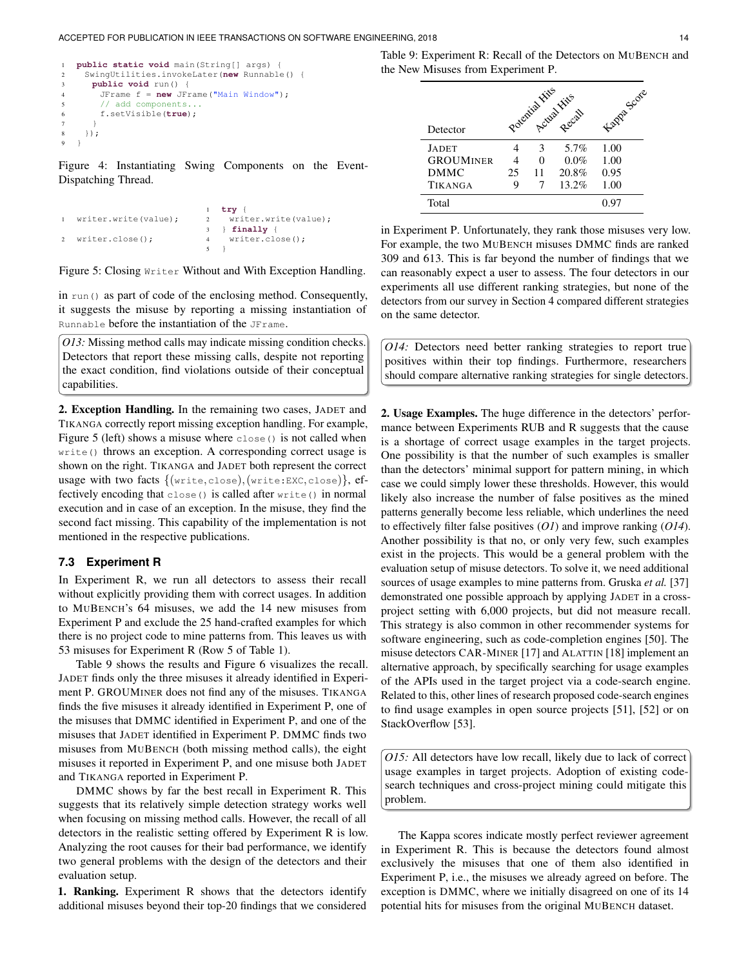```
1 public static void main(String[] args) {
    2 SwingUtilities.invokeLater(new Runnable() {
3 public void run() {
       4 JFrame f = new JFrame("Main Window");
       // add components...
       6 f.setVisible(true);
7 }
8 });
9 }
```
Figure 4: Instantiating Swing Components on the Event-Dispatching Thread.

```
writer.write(value);
writer.close();
                           \frac{1}{2} try {
                                writer.write(value);
                           3 } finally {
                           4 writer.close();
                            5 }
```
Figure 5: Closing Writer Without and With Exception Handling.

in run() as part of code of the enclosing method. Consequently, it suggests the misuse by reporting a missing instantiation of Runnable before the instantiation of the JFrame.

<span id="page-13-4"></span>*O13:* Missing method calls may indicate missing condition checks. Detectors that report these missing calls, despite not reporting the exact condition, find violations outside of their conceptual capabilities.

2. Exception Handling. In the remaining two cases, JADET and TIKANGA correctly report missing exception handling. For example, [Figure 5](#page-13-1) (left) shows a misuse where close() is not called when write() throws an exception. A corresponding correct usage is shown on the right. TIKANGA and JADET both represent the correct usage with two facts  $\{(write, close), (write: EXC, close)\},$  effectively encoding that close() is called after write() in normal execution and in case of an exception. In the misuse, they find the second fact missing. This capability of the implementation is not mentioned in the respective publications.

## **7.3 [Experiment R](#page-8-0)**

In [Experiment R,](#page-8-0) we run all detectors to assess their recall without explicitly providing them with correct usages. In addition to MUBENCH's 64 misuses, we add the 14 new misuses from [Experiment P](#page-6-0) and exclude the 25 hand-crafted examples for which there is no project code to mine patterns from. This leaves us with 53 misuses for [Experiment R](#page-8-0) (Row 5 of [Table 1\)](#page-2-0).

[Table 9](#page-13-2) shows the results and [Figure 6](#page-14-0) visualizes the recall. JADET finds only the three misuses it already identified in [Experi](#page-6-0)[ment P.](#page-6-0) GROUMINER does not find any of the misuses. TIKANGA finds the five misuses it already identified in [Experiment P,](#page-6-0) one of the misuses that DMMC identified in [Experiment P,](#page-6-0) and one of the misuses that JADET identified in [Experiment P.](#page-6-0) DMMC finds two misuses from MUBENCH (both missing method calls), the eight misuses it reported in [Experiment P,](#page-6-0) and one misuse both JADET and TIKANGA reported in [Experiment P.](#page-6-0)

DMMC shows by far the best recall in [Experiment R.](#page-8-0) This suggests that its relatively simple detection strategy works well when focusing on missing method calls. However, the recall of all detectors in the realistic setting offered by [Experiment R](#page-8-0) is low. Analyzing the root causes for their bad performance, we identify two general problems with the design of the detectors and their evaluation setup.

1. Ranking. [Experiment R](#page-8-0) shows that the detectors identify additional misuses beyond their top-20 findings that we considered <span id="page-13-2"></span>Table 9: [Experiment R:](#page-8-0) Recall of the Detectors on MUBENCH and the New Misuses from [Experiment P.](#page-6-0)

|                  |    |    | Potential Hite Hite | Kappa Score |
|------------------|----|----|---------------------|-------------|
| Detector         |    |    |                     |             |
| <b>JADET</b>     |    | 3  | 5.7%                | 1.00        |
| <b>GROUMINER</b> |    | 0  | $0.0\%$             | 1.00        |
| <b>DMMC</b>      | 25 | 11 | 20.8%               | 0.95        |
| <b>TIKANGA</b>   | 9  | 7  | 13.2%               | 1.00        |
| Total            |    |    |                     | 0.97        |

in [Experiment P.](#page-6-0) Unfortunately, they rank those misuses very low. For example, the two MUBENCH misuses DMMC finds are ranked 309 and 613. This is far beyond the number of findings that we can reasonably expect a user to assess. The four detectors in our experiments all use different ranking strategies, but none of the detectors from our survey in [Section 4](#page-3-0) compared different strategies on the same detector.

<span id="page-13-3"></span>*O14:* Detectors need better ranking strategies to report true positives within their top findings. Furthermore, researchers should compare alternative ranking strategies for single detectors.

2. Usage Examples. The huge difference in the detectors' performance between Experiments RUB and R suggests that the cause is a shortage of correct usage examples in the target projects. One possibility is that the number of such examples is smaller than the detectors' minimal support for pattern mining, in which case we could simply lower these thresholds. However, this would likely also increase the number of false positives as the mined patterns generally become less reliable, which underlines the need to effectively filter false positives (*[O1](#page-9-1)*) and improve ranking (*[O14](#page-13-3)*). Another possibility is that no, or only very few, such examples exist in the projects. This would be a general problem with the evaluation setup of misuse detectors. To solve it, we need additional sources of usage examples to mine patterns from. Gruska *et al.* [\[37\]](#page-16-27) demonstrated one possible approach by applying JADET in a crossproject setting with 6,000 projects, but did not measure recall. This strategy is also common in other recommender systems for software engineering, such as code-completion engines [\[50\]](#page-16-40). The misuse detectors CAR-MINER [\[17\]](#page-16-25) and ALATTIN [\[18\]](#page-16-23) implement an alternative approach, by specifically searching for usage examples of the APIs used in the target project via a code-search engine. Related to this, other lines of research proposed code-search engines to find usage examples in open source projects [\[51\]](#page-16-41), [\[52\]](#page-17-0) or on StackOverflow [\[53\]](#page-17-1).

<span id="page-13-5"></span>*O15:* All detectors have low recall, likely due to lack of correct usage examples in target projects. Adoption of existing codesearch techniques and cross-project mining could mitigate this problem.

The Kappa scores indicate mostly perfect reviewer agreement in [Experiment R.](#page-8-0) This is because the detectors found almost exclusively the misuses that one of them also identified in [Experiment P,](#page-6-0) i.e., the misuses we already agreed on before. The exception is DMMC, where we initially disagreed on one of its 14 potential hits for misuses from the original MUBENCH dataset.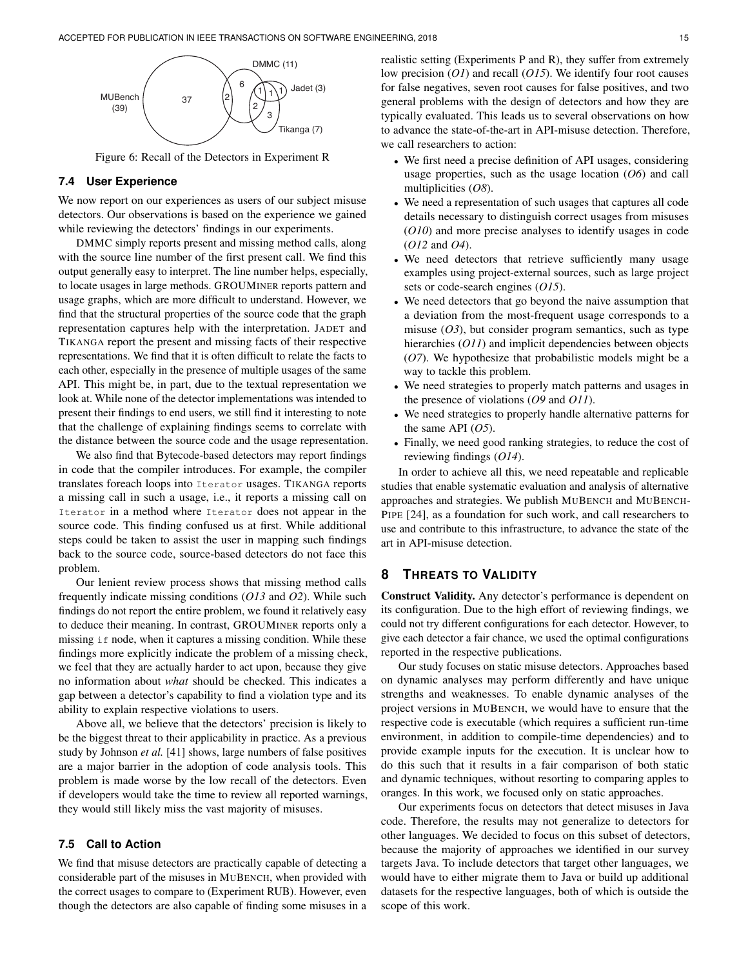<span id="page-14-0"></span>

Figure 6: Recall of the Detectors in [Experiment R](#page-8-0)

# **7.4 User Experience**

We now report on our experiences as users of our subject misuse detectors. Our observations is based on the experience we gained while reviewing the detectors' findings in our experiments.

DMMC simply reports present and missing method calls, along with the source line number of the first present call. We find this output generally easy to interpret. The line number helps, especially, to locate usages in large methods. GROUMINER reports pattern and usage graphs, which are more difficult to understand. However, we find that the structural properties of the source code that the graph representation captures help with the interpretation. JADET and TIKANGA report the present and missing facts of their respective representations. We find that it is often difficult to relate the facts to each other, especially in the presence of multiple usages of the same API. This might be, in part, due to the textual representation we look at. While none of the detector implementations was intended to present their findings to end users, we still find it interesting to note that the challenge of explaining findings seems to correlate with the distance between the source code and the usage representation.

We also find that Bytecode-based detectors may report findings in code that the compiler introduces. For example, the compiler translates foreach loops into Iterator usages. TIKANGA reports a missing call in such a usage, i.e., it reports a missing call on Iterator in a method where Iterator does not appear in the source code. This finding confused us at first. While additional steps could be taken to assist the user in mapping such findings back to the source code, source-based detectors do not face this problem.

Our lenient review process shows that missing method calls frequently indicate missing conditions (*[O13](#page-13-4)* and *[O2](#page-9-2)*). While such findings do not report the entire problem, we found it relatively easy to deduce their meaning. In contrast, GROUMINER reports only a missing if node, when it captures a missing condition. While these findings more explicitly indicate the problem of a missing check, we feel that they are actually harder to act upon, because they give no information about *what* should be checked. This indicates a gap between a detector's capability to find a violation type and its ability to explain respective violations to users.

Above all, we believe that the detectors' precision is likely to be the biggest threat to their applicability in practice. As a previous study by Johnson *et al.* [\[41\]](#page-16-31) shows, large numbers of false positives are a major barrier in the adoption of code analysis tools. This problem is made worse by the low recall of the detectors. Even if developers would take the time to review all reported warnings, they would still likely miss the vast majority of misuses.

# **7.5 Call to Action**

We find that misuse detectors are practically capable of detecting a considerable part of the misuses in MUBENCH, when provided with the correct usages to compare to [\(Experiment RUB\)](#page-7-0). However, even though the detectors are also capable of finding some misuses in a realistic setting (Experiments P and R), they suffer from extremely low precision (*[O1](#page-9-1)*) and recall (*[O15](#page-13-5)*). We identify four root causes for false negatives, seven root causes for false positives, and two general problems with the design of detectors and how they are typically evaluated. This leads us to several observations on how to advance the state-of-the-art in API-misuse detection. Therefore, we call researchers to action:

- We first need a precise definition of API usages, considering usage properties, such as the usage location (*[O6](#page-10-1)*) and call multiplicities (*[O8](#page-11-5)*).
- We need a representation of such usages that captures all code details necessary to distinguish correct usages from misuses (*[O10](#page-12-3)*) and more precise analyses to identify usages in code (*[O12](#page-12-4)* and *[O4](#page-10-2)*).
- We need detectors that retrieve sufficiently many usage examples using project-external sources, such as large project sets or code-search engines (*[O15](#page-13-5)*).
- We need detectors that go beyond the naive assumption that a deviation from the most-frequent usage corresponds to a misuse  $(O3)$  $(O3)$  $(O3)$ , but consider program semantics, such as type hierarchies (*[O11](#page-12-5)*) and implicit dependencies between objects (*[O7](#page-11-6)*). We hypothesize that probabilistic models might be a way to tackle this problem.
- We need strategies to properly match patterns and usages in the presence of violations (*[O9](#page-11-7)* and *[O11](#page-12-5)*).
- We need strategies to properly handle alternative patterns for the same API (*[O5](#page-10-4)*).
- Finally, we need good ranking strategies, to reduce the cost of reviewing findings (*[O14](#page-13-3)*).

In order to achieve all this, we need repeatable and replicable studies that enable systematic evaluation and analysis of alternative approaches and strategies. We publish MUBENCH and MUBENCH-PIPE [\[24\]](#page-16-7), as a foundation for such work, and call researchers to use and contribute to this infrastructure, to advance the state of the art in API-misuse detection.

# **8 THREATS TO VALIDITY**

Construct Validity. Any detector's performance is dependent on its configuration. Due to the high effort of reviewing findings, we could not try different configurations for each detector. However, to give each detector a fair chance, we used the optimal configurations reported in the respective publications.

Our study focuses on static misuse detectors. Approaches based on dynamic analyses may perform differently and have unique strengths and weaknesses. To enable dynamic analyses of the project versions in MUBENCH, we would have to ensure that the respective code is executable (which requires a sufficient run-time environment, in addition to compile-time dependencies) and to provide example inputs for the execution. It is unclear how to do this such that it results in a fair comparison of both static and dynamic techniques, without resorting to comparing apples to oranges. In this work, we focused only on static approaches.

Our experiments focus on detectors that detect misuses in Java code. Therefore, the results may not generalize to detectors for other languages. We decided to focus on this subset of detectors, because the majority of approaches we identified in our survey targets Java. To include detectors that target other languages, we would have to either migrate them to Java or build up additional datasets for the respective languages, both of which is outside the scope of this work.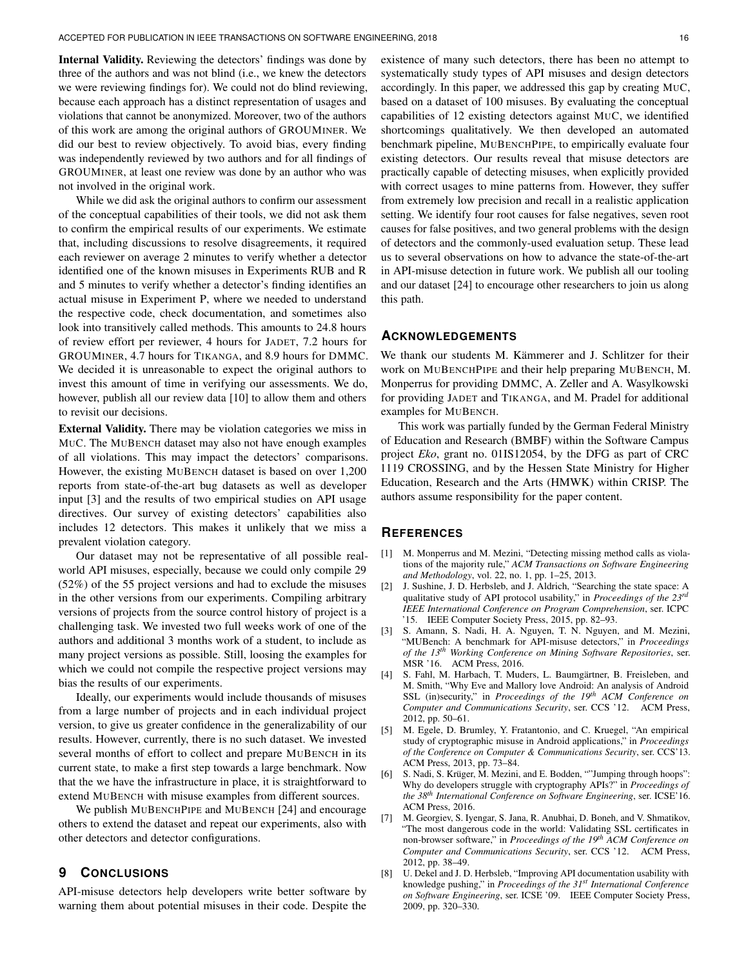Internal Validity. Reviewing the detectors' findings was done by three of the authors and was not blind (i.e., we knew the detectors we were reviewing findings for). We could not do blind reviewing, because each approach has a distinct representation of usages and violations that cannot be anonymized. Moreover, two of the authors of this work are among the original authors of GROUMINER. We did our best to review objectively. To avoid bias, every finding was independently reviewed by two authors and for all findings of GROUMINER, at least one review was done by an author who was not involved in the original work.

While we did ask the original authors to confirm our assessment of the conceptual capabilities of their tools, we did not ask them to confirm the empirical results of our experiments. We estimate that, including discussions to resolve disagreements, it required each reviewer on average 2 minutes to verify whether a detector identified one of the known misuses in Experiments RUB and R and 5 minutes to verify whether a detector's finding identifies an actual misuse in [Experiment P,](#page-6-0) where we needed to understand the respective code, check documentation, and sometimes also look into transitively called methods. This amounts to 24.8 hours of review effort per reviewer, 4 hours for JADET, 7.2 hours for GROUMINER, 4.7 hours for TIKANGA, and 8.9 hours for DMMC. We decided it is unreasonable to expect the original authors to invest this amount of time in verifying our assessments. We do, however, publish all our review data [\[10\]](#page-16-1) to allow them and others to revisit our decisions.

External Validity. There may be violation categories we miss in MUC. The MUBENCH dataset may also not have enough examples of all violations. This may impact the detectors' comparisons. However, the existing MUBENCH dataset is based on over 1,200 reports from state-of-the-art bug datasets as well as developer input [\[3\]](#page-15-3) and the results of two empirical studies on API usage directives. Our survey of existing detectors' capabilities also includes 12 detectors. This makes it unlikely that we miss a prevalent violation category.

Our dataset may not be representative of all possible realworld API misuses, especially, because we could only compile 29 (52%) of the 55 project versions and had to exclude the misuses in the other versions from our experiments. Compiling arbitrary versions of projects from the source control history of project is a challenging task. We invested two full weeks work of one of the authors and additional 3 months work of a student, to include as many project versions as possible. Still, loosing the examples for which we could not compile the respective project versions may bias the results of our experiments.

Ideally, our experiments would include thousands of misuses from a large number of projects and in each individual project version, to give us greater confidence in the generalizability of our results. However, currently, there is no such dataset. We invested several months of effort to collect and prepare MUBENCH in its current state, to make a first step towards a large benchmark. Now that the we have the infrastructure in place, it is straightforward to extend MUBENCH with misuse examples from different sources.

We publish MUBENCHPIPE and MUBENCH [\[24\]](#page-16-7) and encourage others to extend the dataset and repeat our experiments, also with other detectors and detector configurations.

# **9 CONCLUSIONS**

API-misuse detectors help developers write better software by warning them about potential misuses in their code. Despite the existence of many such detectors, there has been no attempt to systematically study types of API misuses and design detectors accordingly. In this paper, we addressed this gap by creating MUC, based on a dataset of 100 misuses. By evaluating the conceptual capabilities of 12 existing detectors against MUC, we identified shortcomings qualitatively. We then developed an automated benchmark pipeline, MUBENCHPIPE, to empirically evaluate four existing detectors. Our results reveal that misuse detectors are practically capable of detecting misuses, when explicitly provided with correct usages to mine patterns from. However, they suffer from extremely low precision and recall in a realistic application setting. We identify four root causes for false negatives, seven root causes for false positives, and two general problems with the design of detectors and the commonly-used evaluation setup. These lead us to several observations on how to advance the state-of-the-art in API-misuse detection in future work. We publish all our tooling and our dataset [\[24\]](#page-16-7) to encourage other researchers to join us along this path.

# **ACKNOWLEDGEMENTS**

We thank our students M. Kämmerer and J. Schlitzer for their work on MUBENCHPIPE and their help preparing MUBENCH, M. Monperrus for providing DMMC, A. Zeller and A. Wasylkowski for providing JADET and TIKANGA, and M. Pradel for additional examples for MUBENCH.

This work was partially funded by the German Federal Ministry of Education and Research (BMBF) within the Software Campus project *Eko*, grant no. 01IS12054, by the DFG as part of CRC 1119 CROSSING, and by the Hessen State Ministry for Higher Education, Research and the Arts (HMWK) within CRISP. The authors assume responsibility for the paper content.

# **REFERENCES**

- <span id="page-15-0"></span>[1] M. Monperrus and M. Mezini, "Detecting missing method calls as violations of the majority rule," *ACM Transactions on Software Engineering and Methodology*, vol. 22, no. 1, pp. 1–25, 2013.
- [2] J. Sushine, J. D. Herbsleb, and J. Aldrich, "Searching the state space: A qualitative study of API protocol usability," in *Proceedings of the 23rd IEEE International Conference on Program Comprehension*, ser. ICPC '15. IEEE Computer Society Press, 2015, pp. 82–93.
- <span id="page-15-3"></span>[3] S. Amann, S. Nadi, H. A. Nguyen, T. N. Nguyen, and M. Mezini, "MUBench: A benchmark for API-misuse detectors," in *Proceedings of the 13th Working Conference on Mining Software Repositories*, ser. MSR '16. ACM Press, 2016.
- [4] S. Fahl, M. Harbach, T. Muders, L. Baumgärtner, B. Freisleben, and M. Smith, "Why Eve and Mallory love Android: An analysis of Android SSL (in)security," in *Proceedings of the 19th ACM Conference on Computer and Communications Security*, ser. CCS '12. ACM Press, 2012, pp. 50–61.
- [5] M. Egele, D. Brumley, Y. Fratantonio, and C. Kruegel, "An empirical study of cryptographic misuse in Android applications," in *Proceedings of the Conference on Computer & Communications Security*, ser. CCS'13. ACM Press, 2013, pp. 73–84.
- [6] S. Nadi, S. Krüger, M. Mezini, and E. Bodden, ""Jumping through hoops": Why do developers struggle with cryptography APIs?" in *Proceedings of the 38th International Conference on Software Engineering*, ser. ICSE'16. ACM Press, 2016.
- <span id="page-15-1"></span>[7] M. Georgiev, S. Iyengar, S. Jana, R. Anubhai, D. Boneh, and V. Shmatikov, "The most dangerous code in the world: Validating SSL certificates in non-browser software," in *Proceedings of the 19th ACM Conference on Computer and Communications Security*, ser. CCS '12. ACM Press, 2012, pp. 38–49.
- <span id="page-15-2"></span>[8] U. Dekel and J. D. Herbsleb, "Improving API documentation usability with knowledge pushing," in *Proceedings of the 31st International Conference on Software Engineering*, ser. ICSE '09. IEEE Computer Society Press, 2009, pp. 320–330.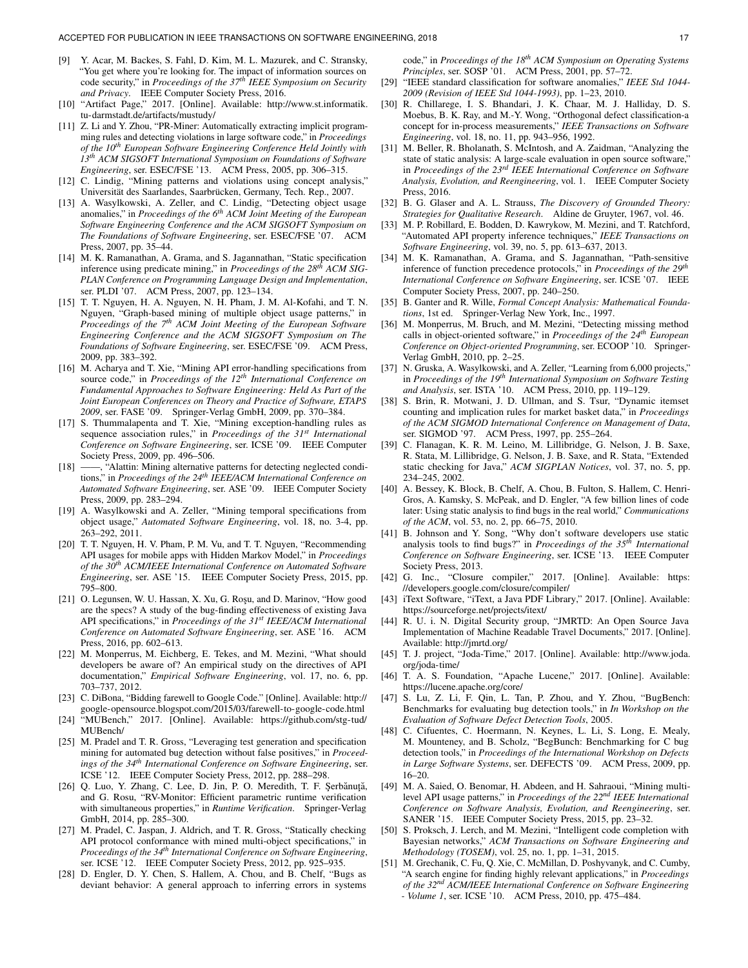- <span id="page-16-0"></span>[9] Y. Acar, M. Backes, S. Fahl, D. Kim, M. L. Mazurek, and C. Stransky, "You get where you're looking for. The impact of information sources on code security," in *Proceedings of the 37th IEEE Symposium on Security and Privacy*. IEEE Computer Society Press, 2016.
- <span id="page-16-1"></span>[10] "Artifact Page," 2017. [Online]. Available: [http://www.st.informatik.](http://www.st.informatik.tu-darmstadt.de/artifacts/mustudy/) [tu-darmstadt.de/artifacts/mustudy/](http://www.st.informatik.tu-darmstadt.de/artifacts/mustudy/)
- <span id="page-16-2"></span>[11] Z. Li and Y. Zhou, "PR-Miner: Automatically extracting implicit programming rules and detecting violations in large software code," in *Proceedings of the 10th European Software Engineering Conference Held Jointly with 13th ACM SIGSOFT International Symposium on Foundations of Software Engineering*, ser. ESEC/FSE '13. ACM Press, 2005, pp. 306–315.
- <span id="page-16-21"></span>[12] C. Lindig, "Mining patterns and violations using concept analysis," Universität des Saarlandes, Saarbrücken, Germany, Tech. Rep., 2007.
- <span id="page-16-8"></span>[13] A. Wasylkowski, A. Zeller, and C. Lindig, "Detecting object usage anomalies," in *Proceedings of the 6th ACM Joint Meeting of the European Software Engineering Conference and the ACM SIGSOFT Symposium on The Foundations of Software Engineering*, ser. ESEC/FSE '07. ACM Press, 2007, pp. 35–44.
- <span id="page-16-22"></span>[14] M. K. Ramanathan, A. Grama, and S. Jagannathan, "Static specification inference using predicate mining," in *Proceedings of the 28th ACM SIG-PLAN Conference on Programming Language Design and Implementation*, ser. PLDI '07. ACM Press, 2007, pp. 123-134.
- <span id="page-16-9"></span>[15] T. T. Nguyen, H. A. Nguyen, N. H. Pham, J. M. Al-Kofahi, and T. N. Nguyen, "Graph-based mining of multiple object usage patterns," in *Proceedings of the 7th ACM Joint Meeting of the European Software Engineering Conference and the ACM SIGSOFT Symposium on The Foundations of Software Engineering*, ser. ESEC/FSE '09. ACM Press, 2009, pp. 383–392.
- <span id="page-16-24"></span>[16] M. Acharya and T. Xie, "Mining API error-handling specifications from source code," in *Proceedings of the 12th International Conference on Fundamental Approaches to Software Engineering: Held As Part of the Joint European Conferences on Theory and Practice of Software, ETAPS 2009*, ser. FASE '09. Springer-Verlag GmbH, 2009, pp. 370–384.
- <span id="page-16-25"></span>[17] S. Thummalapenta and T. Xie, "Mining exception-handling rules as sequence association rules," in *Proceedings of the 31st International Conference on Software Engineering*, ser. ICSE '09. IEEE Computer Society Press, 2009, pp. 496–506.
- <span id="page-16-23"></span>[18] ——, "Alattin: Mining alternative patterns for detecting neglected conditions," in *Proceedings of the 24th IEEE/ACM International Conference on Automated Software Engineering*, ser. ASE '09. IEEE Computer Society Press, 2009, pp. 283–294.
- <span id="page-16-14"></span>[19] A. Wasylkowski and A. Zeller, "Mining temporal specifications from object usage," *Automated Software Engineering*, vol. 18, no. 3-4, pp. 263–292, 2011.
- <span id="page-16-3"></span>[20] T. T. Nguyen, H. V. Pham, P. M. Vu, and T. T. Nguyen, "Recommending API usages for mobile apps with Hidden Markov Model," in *Proceedings of the 30th ACM/IEEE International Conference on Automated Software Engineering*, ser. ASE '15. IEEE Computer Society Press, 2015, pp. 795–800.
- <span id="page-16-4"></span>[21] O. Legunsen, W. U. Hassan, X. Xu, G. Roşu, and D. Marinov, "How good are the specs? A study of the bug-finding effectiveness of existing Java API specifications," in *Proceedings of the 31st IEEE/ACM International Conference on Automated Software Engineering*, ser. ASE '16. ACM Press, 2016, pp. 602–613.
- <span id="page-16-5"></span>[22] M. Monperrus, M. Eichberg, E. Tekes, and M. Mezini, "What should developers be aware of? An empirical study on the directives of API documentation," *Empirical Software Engineering*, vol. 17, no. 6, pp. 703–737, 2012.
- <span id="page-16-6"></span>[23] C. DiBona, "Bidding farewell to Google Code." [Online]. Available: [http://](http://google-opensource.blogspot.com/2015/03/farewell-to-google-code.html) [google-opensource.blogspot.com/2015/03/farewell-to-google-code.html](http://google-opensource.blogspot.com/2015/03/farewell-to-google-code.html)
- <span id="page-16-7"></span>[24] "MUBench," 2017. [Online]. Available: [https://github.com/stg-tud/](https://github.com/stg-tud/MUBench/) [MUBench/](https://github.com/stg-tud/MUBench/)
- <span id="page-16-10"></span>[25] M. Pradel and T. R. Gross, "Leveraging test generation and specification mining for automated bug detection without false positives," in *Proceedings of the 34th International Conference on Software Engineering*, ser. ICSE '12. IEEE Computer Society Press, 2012, pp. 288–298.
- <span id="page-16-11"></span>[26] Q. Luo, Y. Zhang, C. Lee, D. Jin, P. O. Meredith, T. F. Şerbănuță, and G. Rosu, "RV-Monitor: Efficient parametric runtime verification with simultaneous properties," in *Runtime Verification*. Springer-Verlag GmbH, 2014, pp. 285–300.
- <span id="page-16-12"></span>[27] M. Pradel, C. Jaspan, J. Aldrich, and T. R. Gross, "Statically checking API protocol conformance with mined multi-object specifications," in *Proceedings of the 34th International Conference on Software Engineering*, ser. ICSE '12. IEEE Computer Society Press, 2012, pp. 925–935.
- <span id="page-16-13"></span>[28] D. Engler, D. Y. Chen, S. Hallem, A. Chou, and B. Chelf, "Bugs as deviant behavior: A general approach to inferring errors in systems

code," in *Proceedings of the 18th ACM Symposium on Operating Systems Principles*, ser. SOSP '01. ACM Press, 2001, pp. 57–72.

- <span id="page-16-15"></span>[29] "IEEE standard classification for software anomalies," *IEEE Std 1044- 2009 (Revision of IEEE Std 1044-1993)*, pp. 1–23, 2010.
- <span id="page-16-16"></span>[30] R. Chillarege, I. S. Bhandari, J. K. Chaar, M. J. Halliday, D. S. Moebus, B. K. Ray, and M.-Y. Wong, "Orthogonal defect classification-a concept for in-process measurements," *IEEE Transactions on Software Engineering*, vol. 18, no. 11, pp. 943–956, 1992.
- <span id="page-16-17"></span>[31] M. Beller, R. Bholanath, S. McIntosh, and A. Zaidman, "Analyzing the state of static analysis: A large-scale evaluation in open source software," in *Proceedings of the 23rd IEEE International Conference on Software Analysis, Evolution, and Reengineering*, vol. 1. IEEE Computer Society Press, 2016.
- <span id="page-16-18"></span>[32] B. G. Glaser and A. L. Strauss, *The Discovery of Grounded Theory: Strategies for Qualitative Research*. Aldine de Gruyter, 1967, vol. 46.
- <span id="page-16-19"></span>[33] M. P. Robillard, E. Bodden, D. Kawrykow, M. Mezini, and T. Ratchford, "Automated API property inference techniques," *IEEE Transactions on Software Engineering*, vol. 39, no. 5, pp. 613–637, 2013.
- <span id="page-16-20"></span>[34] M. K. Ramanathan, A. Grama, and S. Jagannathan, "Path-sensitive inference of function precedence protocols," in *Proceedings of the 29th International Conference on Software Engineering*, ser. ICSE '07. IEEE Computer Society Press, 2007, pp. 240–250.
- <span id="page-16-28"></span>[35] B. Ganter and R. Wille, *Formal Concept Analysis: Mathematical Foundations*, 1st ed. Springer-Verlag New York, Inc., 1997.
- <span id="page-16-26"></span>[36] M. Monperrus, M. Bruch, and M. Mezini, "Detecting missing method calls in object-oriented software," in *Proceedings of the 24th European Conference on Object-oriented Programming*, ser. ECOOP '10. Springer-Verlag GmbH, 2010, pp. 2–25.
- <span id="page-16-27"></span>[37] N. Gruska, A. Wasylkowski, and A. Zeller, "Learning from 6,000 projects," in *Proceedings of the 19th International Symposium on Software Testing and Analysis*, ser. ISTA '10. ACM Press, 2010, pp. 119–129.
- <span id="page-16-29"></span>[38] S. Brin, R. Motwani, J. D. Ullman, and S. Tsur, "Dynamic itemset counting and implication rules for market basket data," in *Proceedings of the ACM SIGMOD International Conference on Management of Data*, ser. SIGMOD '97. ACM Press, 1997, pp. 255–264.
- <span id="page-16-30"></span>[39] C. Flanagan, K. R. M. Leino, M. Lillibridge, G. Nelson, J. B. Saxe, R. Stata, M. Lillibridge, G. Nelson, J. B. Saxe, and R. Stata, "Extended static checking for Java," *ACM SIGPLAN Notices*, vol. 37, no. 5, pp. 234–245, 2002.
- [40] A. Bessey, K. Block, B. Chelf, A. Chou, B. Fulton, S. Hallem, C. Henri-Gros, A. Kamsky, S. McPeak, and D. Engler, "A few billion lines of code later: Using static analysis to find bugs in the real world," *Communications of the ACM*, vol. 53, no. 2, pp. 66–75, 2010.
- <span id="page-16-31"></span>[41] B. Johnson and Y. Song, "Why don't software developers use static analysis tools to find bugs?" in *Proceedings of the 35th International Conference on Software Engineering*, ser. ICSE '13. IEEE Computer Society Press, 2013.
- <span id="page-16-32"></span>[42] G. Inc., "Closure compiler," 2017. [Online]. Available: [https:](https://developers.google.com/closure/compiler/) [//developers.google.com/closure/compiler/](https://developers.google.com/closure/compiler/)
- <span id="page-16-33"></span>[43] iText Software, "iText, a Java PDF Library," 2017. [Online]. Available: <https://sourceforge.net/projects/itext/>
- <span id="page-16-34"></span>[44] R. U. i. N. Digital Security group, "JMRTD: An Open Source Java Implementation of Machine Readable Travel Documents," 2017. [Online]. Available:<http://jmrtd.org/>
- <span id="page-16-35"></span>[45] T. J. project, "Joda-Time," 2017. [Online]. Available: [http://www.joda.](http://www.joda.org/joda-time/) [org/joda-time/](http://www.joda.org/joda-time/)
- <span id="page-16-36"></span>[46] T. A. S. Foundation, "Apache Lucene," 2017. [Online]. Available: <https://lucene.apache.org/core/>
- <span id="page-16-37"></span>[47] S. Lu, Z. Li, F. Qin, L. Tan, P. Zhou, and Y. Zhou, "BugBench: Benchmarks for evaluating bug detection tools," in *In Workshop on the Evaluation of Software Defect Detection Tools*, 2005.
- <span id="page-16-38"></span>[48] C. Cifuentes, C. Hoermann, N. Keynes, L. Li, S. Long, E. Mealy, M. Mounteney, and B. Scholz, "BegBunch: Benchmarking for C bug detection tools," in *Proceedings of the International Workshop on Defects in Large Software Systems*, ser. DEFECTS '09. ACM Press, 2009, pp. 16–20.
- <span id="page-16-39"></span>[49] M. A. Saied, O. Benomar, H. Abdeen, and H. Sahraoui, "Mining multilevel API usage patterns," in *Proceedings of the 22nd IEEE International Conference on Software Analysis, Evolution, and Reengineering*, ser. SANER '15. IEEE Computer Society Press, 2015, pp. 23–32.
- <span id="page-16-40"></span>[50] S. Proksch, J. Lerch, and M. Mezini, "Intelligent code completion with Bayesian networks," *ACM Transactions on Software Engineering and Methodology (TOSEM)*, vol. 25, no. 1, pp. 1–31, 2015.
- <span id="page-16-41"></span>[51] M. Grechanik, C. Fu, Q. Xie, C. McMillan, D. Poshyvanyk, and C. Cumby, "A search engine for finding highly relevant applications," in *Proceedings of the 32nd ACM/IEEE International Conference on Software Engineering - Volume 1*, ser. ICSE '10. ACM Press, 2010, pp. 475–484.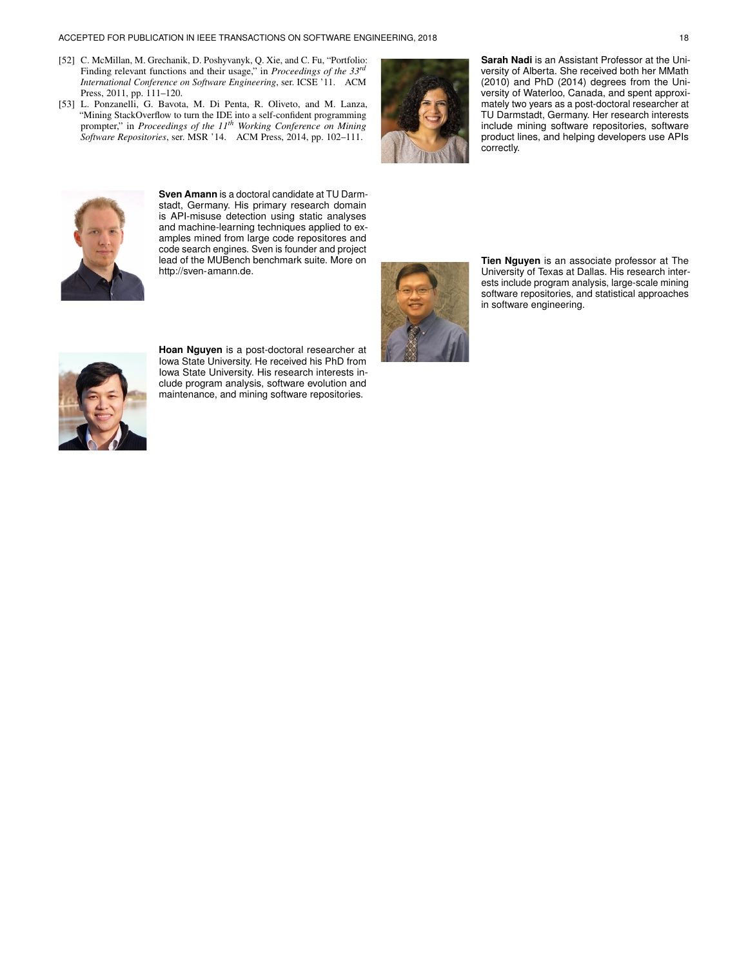#### ACCEPTED FOR PUBLICATION IN IEEE TRANSACTIONS ON SOFTWARE ENGINEERING, 2018 18

- <span id="page-17-0"></span>[52] C. McMillan, M. Grechanik, D. Poshyvanyk, Q. Xie, and C. Fu, "Portfolio: Finding relevant functions and their usage," in *Proceedings of the 33rd International Conference on Software Engineering*, ser. ICSE '11. ACM Press, 2011, pp. 111–120.
- <span id="page-17-1"></span>[53] L. Ponzanelli, G. Bavota, M. Di Penta, R. Oliveto, and M. Lanza, "Mining StackOverflow to turn the IDE into a self-confident programming prompter," in *Proceedings of the 11th Working Conference on Mining Software Repositories*, ser. MSR '14. ACM Press, 2014, pp. 102–111.



**Sarah Nadi** is an Assistant Professor at the University of Alberta. She received both her MMath (2010) and PhD (2014) degrees from the University of Waterloo, Canada, and spent approximately two years as a post-doctoral researcher at TU Darmstadt, Germany. Her research interests include mining software repositories, software product lines, and helping developers use APIs correctly.



**Sven Amann** is a doctoral candidate at TU Darmstadt, Germany. His primary research domain is API-misuse detection using static analyses and machine-learning techniques applied to examples mined from large code repositores and code search engines. Sven is founder and project lead of the MUBench benchmark suite. More on [http://sven-amann.de.](https://web.archive.org/web/20170606231336/http://sven-amann.de)



**Tien Nguyen** is an associate professor at The University of Texas at Dallas. His research interests include program analysis, large-scale mining software repositories, and statistical approaches in software engineering.



**Hoan Nguyen** is a post-doctoral researcher at Iowa State University. He received his PhD from Iowa State University. His research interests include program analysis, software evolution and maintenance, and mining software repositories.